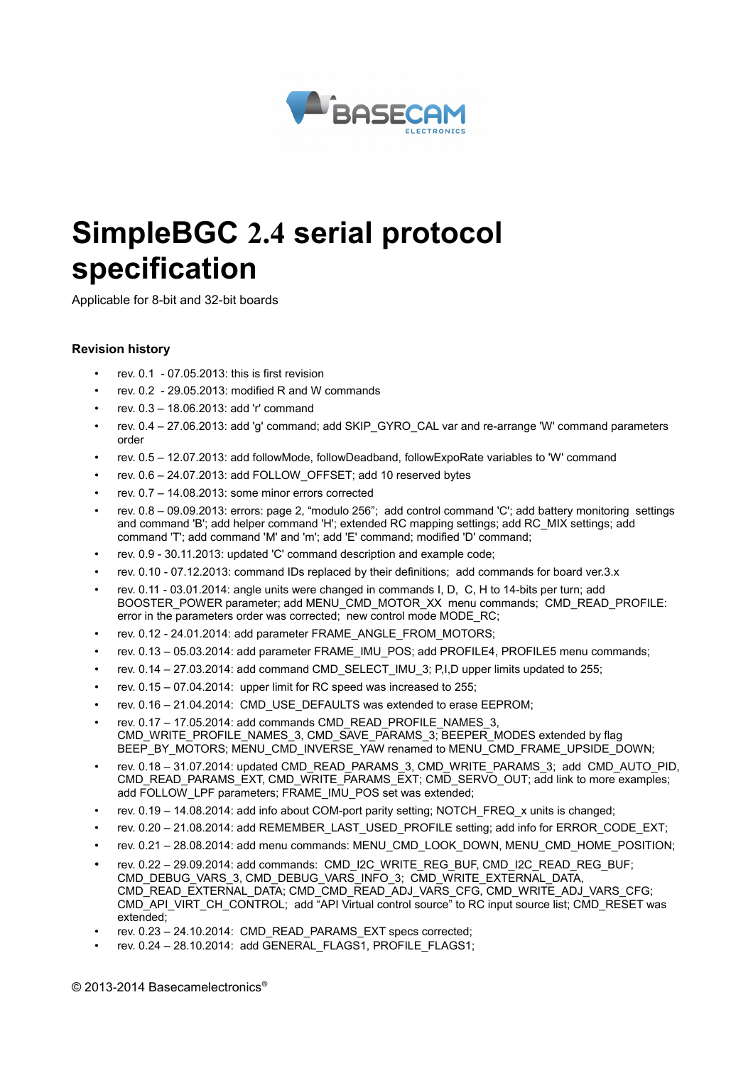

# **SimpleBGC 2.4 serial protocol specification**

Applicable for 8-bit and 32-bit boards

#### **Revision history**

- rev. 0.1 07.05.2013: this is first revision
- rev.  $0.2 29.05.2013$ ; modified R and W commands
- rev. 0.3 18.06.2013: add 'r' command
- rev. 0.4 27.06.2013: add 'g' command; add SKIP\_GYRO\_CAL var and re-arrange 'W' command parameters order
- rev. 0.5 12.07.2013: add followMode, followDeadband, followExpoRate variables to 'W' command
- rev. 0.6 24.07.2013: add FOLLOW\_OFFSET; add 10 reserved bytes
- rev. 0.7 14.08.2013: some minor errors corrected
- rev. 0.8 09.09.2013: errors: page 2, "modulo 256"; add control command 'C'; add battery monitoring settings and command 'B'; add helper command 'H'; extended RC mapping settings; add RC\_MIX settings; add command 'T'; add command 'M' and 'm'; add 'E' command; modified 'D' command;
- rev. 0.9 30.11.2013: updated 'C' command description and example code;
- rev. 0.10 07.12.2013: command IDs replaced by their definitions; add commands for board ver.3.x
- rev. 0.11 03.01.2014: angle units were changed in commands I, D, C, H to 14-bits per turn; add BOOSTER\_POWER parameter; add MENU\_CMD\_MOTOR\_XX menu commands; CMD\_READ\_PROFILE: error in the parameters order was corrected; new control mode MODE\_RC;
- rev. 0.12 24.01.2014: add parameter FRAME\_ANGLE\_FROM\_MOTORS;
- rev. 0.13 05.03.2014: add parameter FRAME\_IMU\_POS; add PROFILE4, PROFILE5 menu commands;
- rev. 0.14 27.03.2014: add command CMD\_SELECT\_IMU\_3; P,I,D upper limits updated to 255;
- rev. 0.15 07.04.2014: upper limit for RC speed was increased to 255;
- rev. 0.16 21.04.2014: CMD USE DEFAULTS was extended to erase EEPROM;
- rev. 0.17 17.05.2014: add commands CMD\_READ\_PROFILE\_NAMES\_3, CMD\_WRITE\_PROFILE\_NAMES\_3, CMD\_SAVE\_PARAMS\_3; BEEPER\_MODES extended by flag BEEP\_BY\_MOTORS; MENU\_CMD\_INVERSE\_YAW renamed to MENU\_CMD\_FRAME\_UPSIDE\_DOWN;
- rev. 0.18 31.07.2014: updated CMD\_READ\_PARAMS\_3, CMD\_WRITE\_PARAMS\_3; add CMD\_AUTO\_PID, CMD\_READ\_PARAMS\_EXT, CMD\_WRITE\_PARAMS\_EXT; CMD\_SERVO\_OUT; add link to more examples; add FOLLOW\_LPF parameters; FRAME\_IMU\_POS set was extended;
- rev. 0.19 14.08.2014: add info about COM-port parity setting; NOTCH\_FREQ\_x units is changed;
- rev. 0.20 21.08.2014: add REMEMBER\_LAST\_USED\_PROFILE setting; add info for ERROR\_CODE\_EXT;
- rev. 0.21 28.08.2014: add menu commands: MENU\_CMD\_LOOK\_DOWN, MENU\_CMD\_HOME\_POSITION;
- rev. 0.22 29.09.2014: add commands: CMD\_I2C\_WRITE\_REG\_BUF, CMD\_I2C\_READ\_REG\_BUF; CMD\_DEBUG\_VARS\_3, CMD\_DEBUG\_VARS\_INFO\_3; CMD\_WRITE\_EXTERNAL\_DATA, CMD\_READ\_EXTERNAL\_DATA; CMD\_CMD\_READ\_ADJ\_VARS\_CFG, CMD\_WRITE\_ADJ\_VARS\_CFG; CMD\_API\_VIRT\_CH\_CONTROL; add "API Virtual control source" to RC input source list; CMD\_RESET was extended;
- rev. 0.23 24.10.2014: CMD\_READ\_PARAMS\_EXT specs corrected;
- rev. 0.24 28.10.2014: add GENERAL\_FLAGS1, PROFILE\_FLAGS1;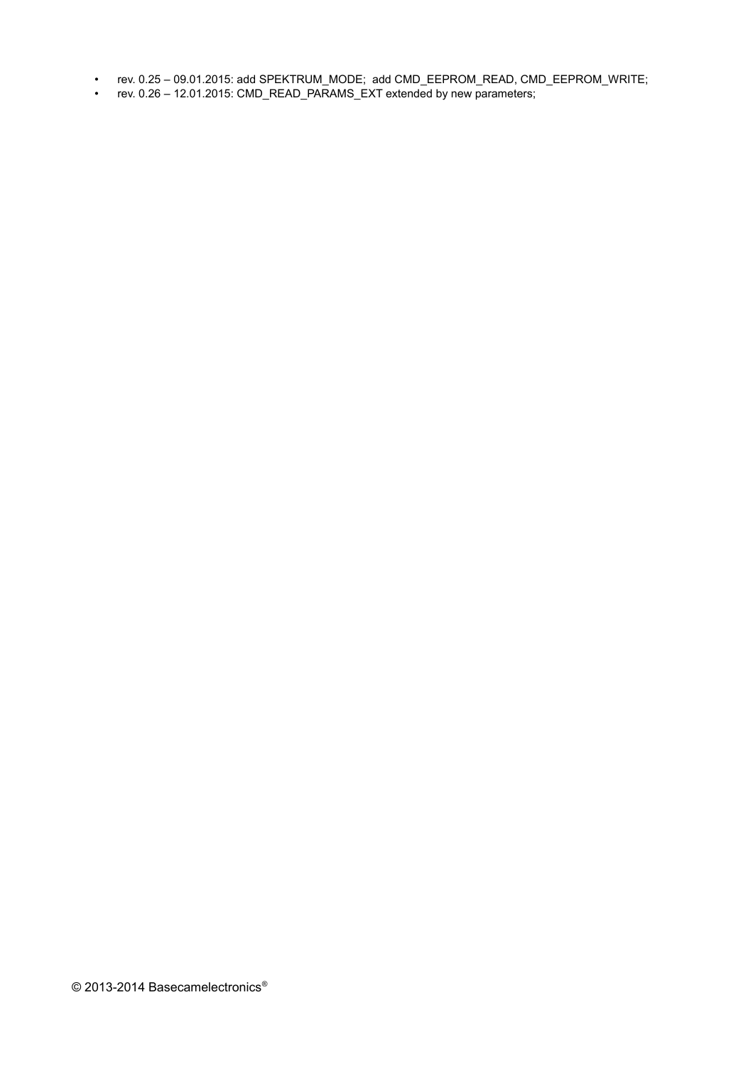- rev. 0.25 09.01.2015: add SPEKTRUM\_MODE; add CMD\_EEPROM\_READ, CMD\_EEPROM\_WRITE;
- rev. 0.26 12.01.2015: CMD\_READ\_PARAMS\_EXT extended by new parameters;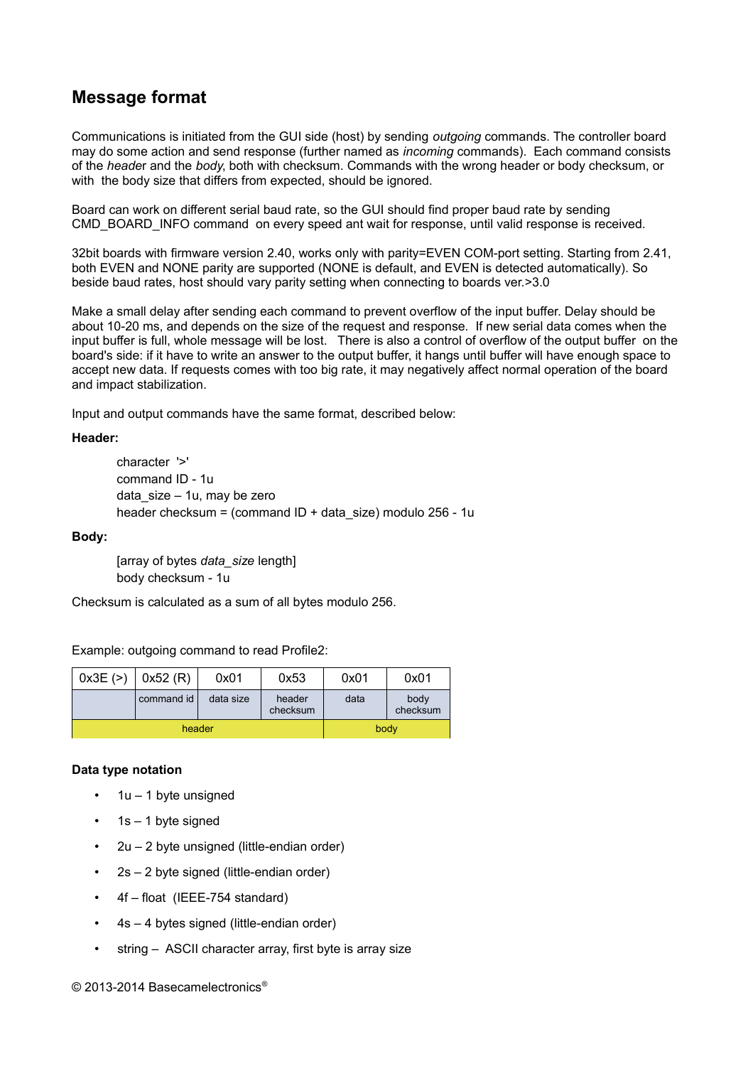## **Message format**

Communications is initiated from the GUI side (host) by sending *outgoing* commands. The controller board may do some action and send response (further named as *incoming* commands). Each command consists of the *heade*r and the *body*, both with checksum. Commands with the wrong header or body checksum, or with the body size that differs from expected, should be ignored.

Board can work on different serial baud rate, so the GUI should find proper baud rate by sending CMD\_BOARD\_INFO command on every speed ant wait for response, until valid response is received.

32bit boards with firmware version 2.40, works only with parity=EVEN COM-port setting. Starting from 2.41, both EVEN and NONE parity are supported (NONE is default, and EVEN is detected automatically). So beside baud rates, host should vary parity setting when connecting to boards ver.>3.0

Make a small delay after sending each command to prevent overflow of the input buffer. Delay should be about 10-20 ms, and depends on the size of the request and response. If new serial data comes when the input buffer is full, whole message will be lost. There is also a control of overflow of the output buffer on the board's side: if it have to write an answer to the output buffer, it hangs until buffer will have enough space to accept new data. If requests comes with too big rate, it may negatively affect normal operation of the board and impact stabilization.

Input and output commands have the same format, described below:

#### **Header:**

character '>' command ID - 1u data\_size – 1u, may be zero header checksum = (command ID + data\_size) modulo 256 - 1u

#### **Body:**

[array of bytes *data\_size* length] body checksum - 1u

Checksum is calculated as a sum of all bytes modulo 256.

Example: outgoing command to read Profile2:

| 0x3E(>) | 0x52(R)    | 0x01      | 0x53               | 0x01 | 0x01             |
|---------|------------|-----------|--------------------|------|------------------|
|         | command id | data size | header<br>checksum | data | body<br>checksum |
|         | header     |           | body               |      |                  |

#### **Data type notation**

- $1u 1$  byte unsigned
- $1s 1$  byte signed
- 2u 2 byte unsigned (little-endian order)
- 2s 2 byte signed (little-endian order)
- 4f float (IEEE-754 standard)
- 4s 4 bytes signed (little-endian order)
- string ASCII character array, first byte is array size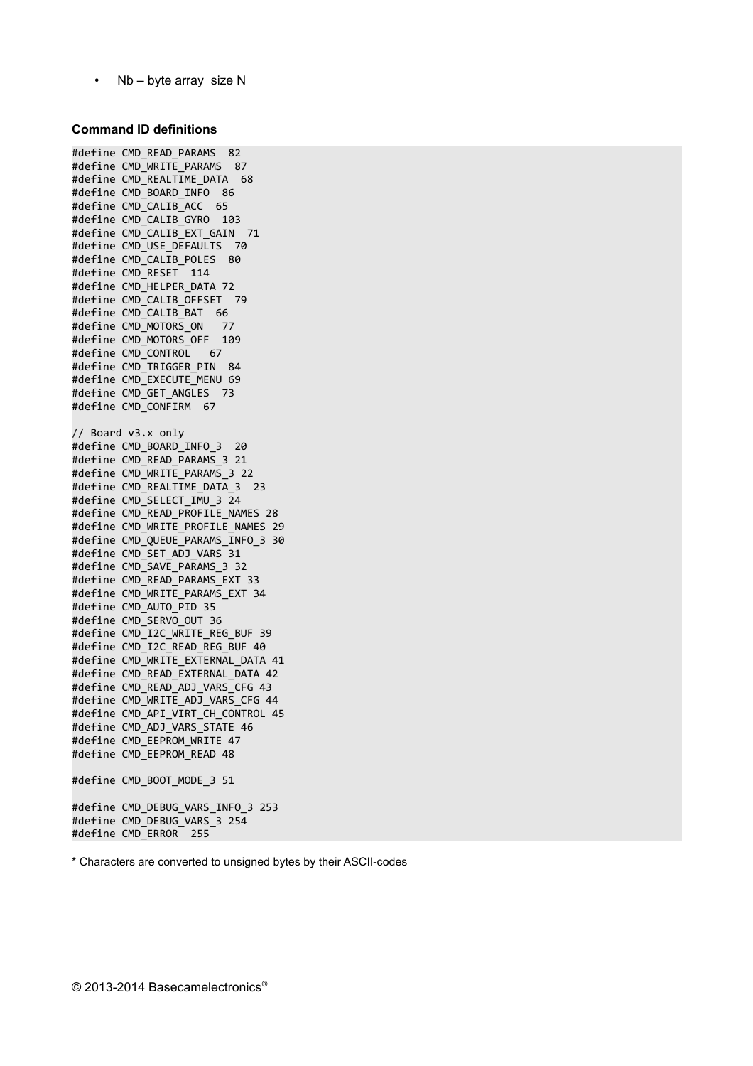• Nb – byte array size N

#### **Command ID definitions**

#define CMD\_READ\_PARAMS 82 #define CMD\_WRITE\_PARAMS 87 #define CMD\_REALTIME\_DATA 68 #define CMD\_BOARD\_INFO 86 #define CMD\_CALIB\_ACC 65 #define CMD\_CALIB\_GYRO 103 #define CMD\_CALIB\_EXT\_GAIN 71 #define CMD\_USE\_DEFAULTS 70 #define CMD\_CALIB\_POLES 80 #define CMD\_RESET 114 #define CMD\_HELPER\_DATA 72 #define CMD\_CALIB\_OFFSET 79 #define CMD\_CALIB\_BAT 66 #define CMD\_MOTORS\_ON 77 #define CMD\_MOTORS\_OFF 109 #define CMD\_CONTROL 67 #define CMD TRIGGER PIN 84 #define CMD\_EXECUTE\_MENU 69 #define CMD\_GET\_ANGLES 73 #define CMD\_CONFIRM 67 // Board v3.x only #define CMD\_BOARD\_INFO\_3 20 #define CMD\_READ\_PARAMS\_3 21 #define CMD\_WRITE\_PARAMS\_3 22 #define CMD\_REALTIME\_DATA\_3 23 #define CMD\_SELECT\_IMU\_3 24 #define CMD\_READ\_PROFILE\_NAMES 28 #define CMD\_WRITE\_PROFILE\_NAMES 29 #define CMD\_QUEUE\_PARAMS\_INFO\_3 30 #define CMD\_SET\_ADJ\_VARS 31 #define CMD\_SAVE\_PARAMS\_3 32 #define CMD\_READ\_PARAMS\_EXT 33 #define CMD\_WRITE\_PARAMS\_EXT 34 #define CMD\_AUTO\_PID 35 #define CMD\_SERVO\_OUT 36 #define CMD\_I2C\_WRITE\_REG\_BUF 39 #define CMD\_I2C\_READ\_REG\_BUF 40 #define CMD\_WRITE\_EXTERNAL\_DATA 41 #define CMD\_READ\_EXTERNAL\_DATA 42 #define CMD\_READ\_ADJ\_VARS\_CFG 43 #define CMD WRITE ADJ VARS CFG 44 #define CMD\_API\_VIRT\_CH\_CONTROL 45 #define CMD\_ADJ\_VARS\_STATE 46 #define CMD\_EEPROM\_WRITE 47 #define CMD\_EEPROM\_READ 48 #define CMD\_BOOT\_MODE\_3 51 #define CMD\_DEBUG\_VARS\_INFO\_3 253 #define CMD\_DEBUG\_VARS\_3 254

\* Characters are converted to unsigned bytes by their ASCII-codes

#define CMD\_ERROR 255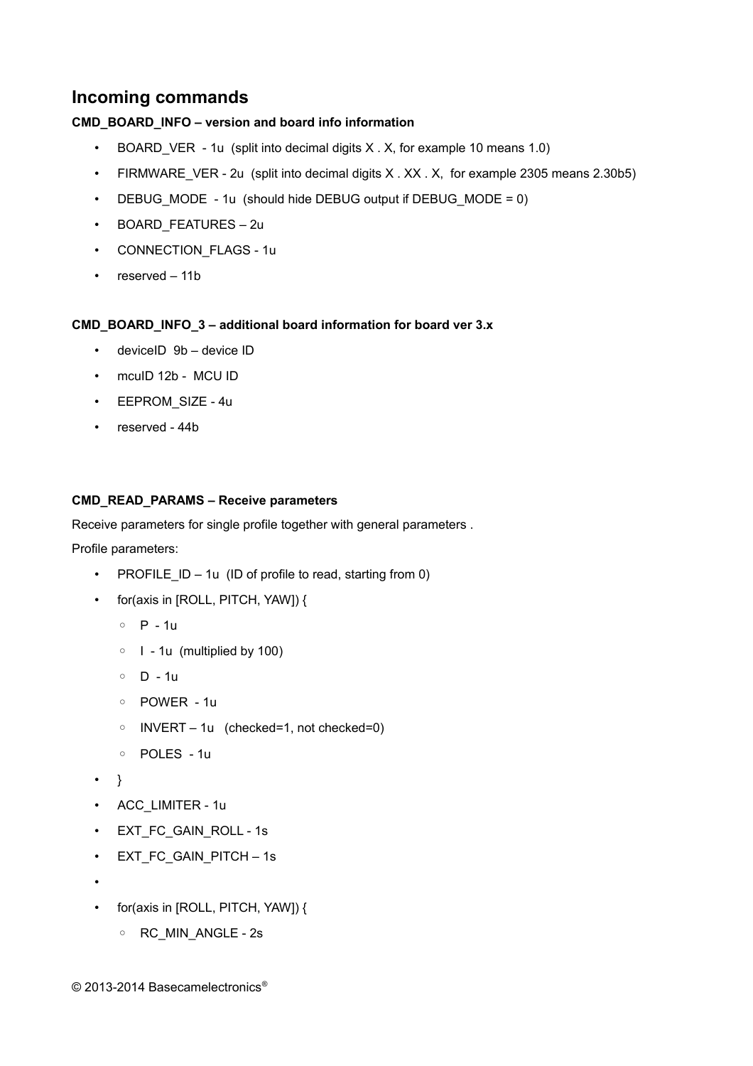## **Incoming commands**

#### **CMD\_BOARD\_INFO – version and board info information**

- BOARD VER 1u (split into decimal digits X . X, for example 10 means 1.0)
- FIRMWARE VER 2u (split into decimal digits X . XX . X, for example 2305 means 2.30b5)
- DEBUG MODE 1u (should hide DEBUG output if DEBUG MODE = 0)
- BOARD\_FEATURES 2u
- CONNECTION FLAGS 1u
- reserved 11b

#### **CMD\_BOARD\_INFO\_3 – additional board information for board ver 3.x**

- deviceID 9b device ID
- mcuID 12b MCU ID
- EEPROM\_SIZE 4u
- reserved 44b

#### **CMD\_READ\_PARAMS – Receive parameters**

Receive parameters for single profile together with general parameters .

Profile parameters:

- PROFILE  $ID 1u$  (ID of profile to read, starting from 0)
- for(axis in [ROLL, PITCH, YAW]) {
	- P 1u
	- I 1u (multiplied by 100)
	- D 1u
	- POWER 1u
	- INVERT 1u (checked=1, not checked=0)
	- POLES 1u
- }
- ACC\_LIMITER 1u
- EXT\_FC\_GAIN\_ROLL 1s
- EXT\_FC\_GAIN\_PITCH 1s
- •
- for(axis in [ROLL, PITCH, YAW]) {
	- RC\_MIN\_ANGLE 2s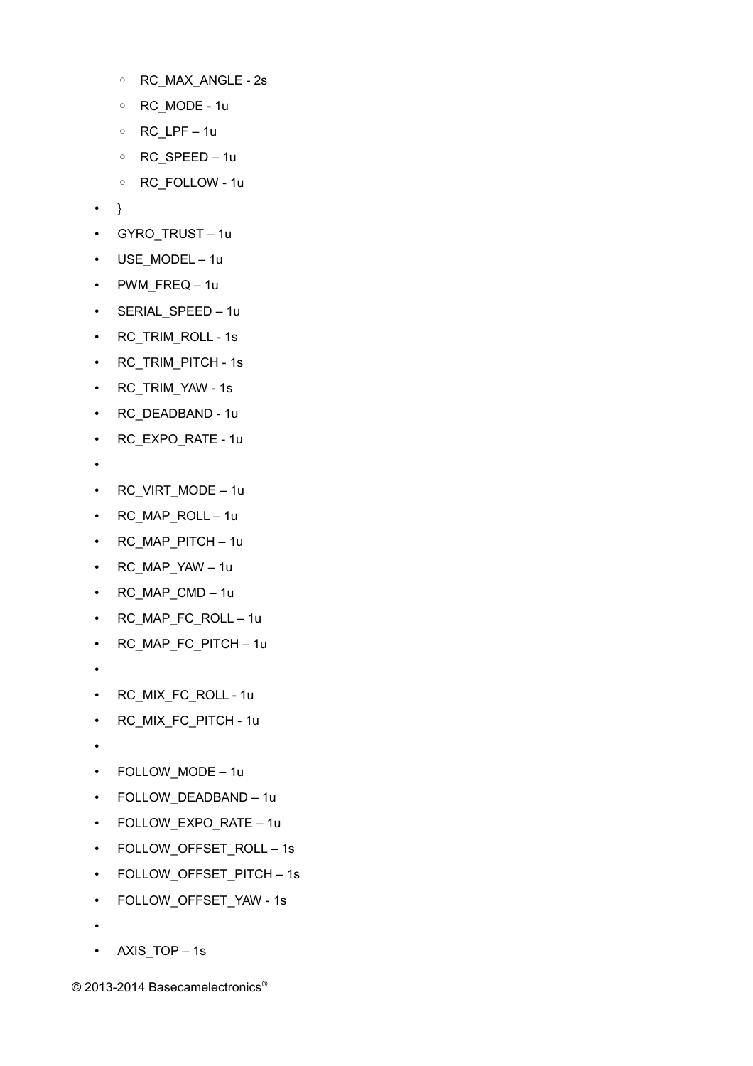- RC\_MAX\_ANGLE 2s
- RC\_MODE 1u
- RC\_LPF 1u
- RC\_SPEED 1u
- RC\_FOLLOW 1u
- }
- GYRO\_TRUST 1u
- USE MODEL 1u
- PWM\_FREQ 1u
- SERIAL\_SPEED 1u
- RC\_TRIM\_ROLL 1s
- RC\_TRIM\_PITCH 1s
- RC\_TRIM\_YAW 1s
- RC\_DEADBAND 1u
- RC\_EXPO\_RATE 1u
- •
- RC\_VIRT\_MODE 1u
- RC\_MAP\_ROLL 1u
- RC\_MAP\_PITCH 1u
- RC\_MAP\_YAW 1u
- RC\_MAP\_CMD 1u
- RC\_MAP\_FC\_ROLL 1u
- RC\_MAP\_FC\_PITCH 1u
- •
- RC\_MIX\_FC\_ROLL 1u
- RC\_MIX\_FC\_PITCH 1u
- •
- FOLLOW MODE 1u
- FOLLOW\_DEADBAND 1u
- FOLLOW\_EXPO\_RATE 1u
- FOLLOW\_OFFSET\_ROLL 1s
- FOLLOW\_OFFSET\_PITCH 1s
- FOLLOW\_OFFSET\_YAW 1s
- •
- AXIS\_TOP 1s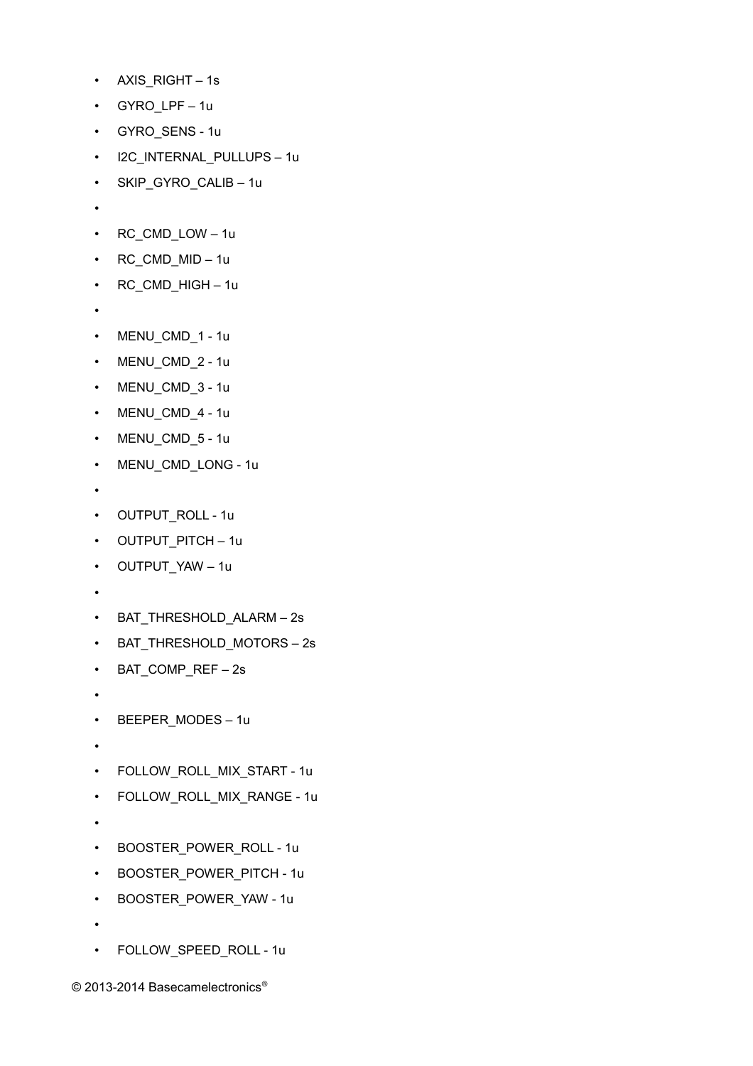- AXIS RIGHT 1s
- GYRO\_LPF 1u
- GYRO\_SENS 1u
- I2C\_INTERNAL\_PULLUPS 1u
- SKIP\_GYRO\_CALIB 1u
- •
- RC\_CMD\_LOW 1u
- RC\_CMD\_MID 1u
- RC\_CMD\_HIGH 1u
- •
- MENU\_CMD\_1 1u
- MENU\_CMD\_2 1u
- MENU\_CMD\_3 1u
- MENU\_CMD\_4 1u
- MENU CMD 5 1u
- MENU CMD LONG 1u
- •
- OUTPUT\_ROLL 1u
- OUTPUT PITCH 1u
- OUTPUT YAW 1u
- •
- BAT\_THRESHOLD\_ALARM 2s
- BAT\_THRESHOLD\_MOTORS 2s
- BAT\_COMP\_REF 2s
- •
- BEEPER\_MODES 1u
- •
- FOLLOW ROLL MIX START 1u
- FOLLOW ROLL MIX RANGE 1u
- •
- BOOSTER\_POWER\_ROLL 1u
- BOOSTER POWER PITCH 1u
- BOOSTER\_POWER\_YAW 1u
- •
- FOLLOW SPEED ROLL 1u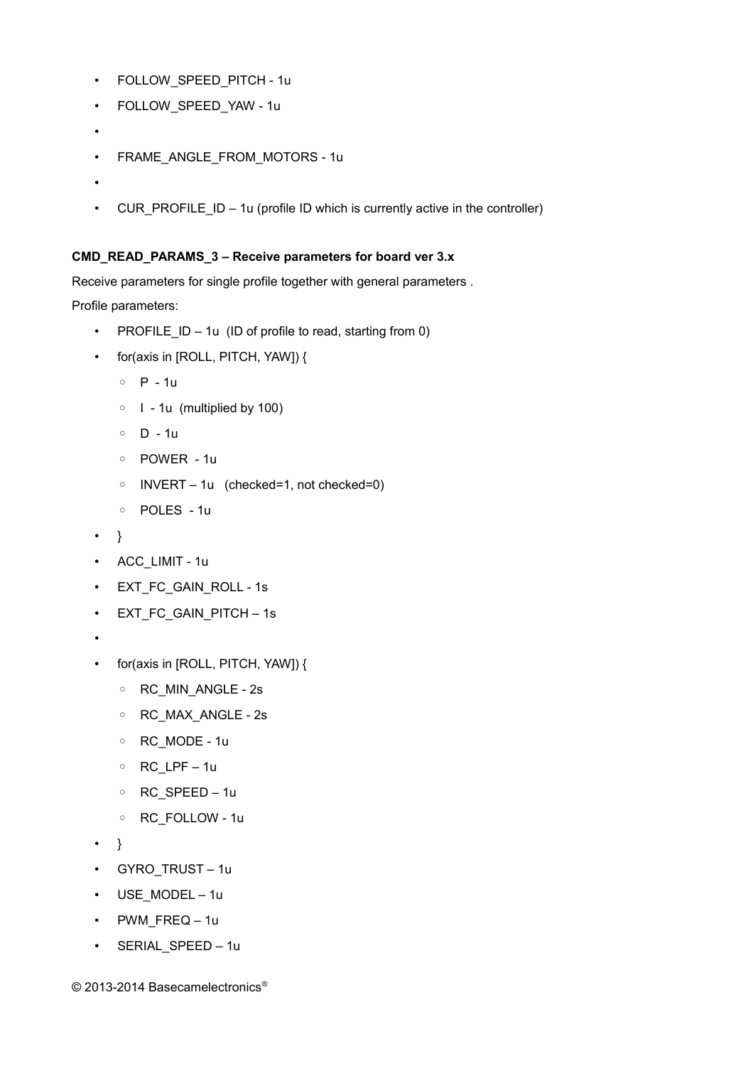- FOLLOW SPEED PITCH 1u
- FOLLOW\_SPEED\_YAW 1u
- •
- FRAME\_ANGLE\_FROM\_MOTORS 1u
- •
- CUR\_PROFILE\_ID 1u (profile ID which is currently active in the controller)

#### **CMD\_READ\_PARAMS\_3 – Receive parameters for board ver 3.x**

Receive parameters for single profile together with general parameters .

Profile parameters:

- PROFILE  $ID 1u$  (ID of profile to read, starting from 0)
- for(axis in [ROLL, PITCH, YAW]) {
	- P 1u
	- I 1u (multiplied by 100)
	- D 1u
	- POWER 1u
	- INVERT 1u (checked=1, not checked=0)
	- POLES 1u
- }
- ACC\_LIMIT 1u
- EXT\_FC\_GAIN\_ROLL 1s
- EXT\_FC\_GAIN\_PITCH 1s
- •
- for(axis in [ROLL, PITCH, YAW]) {
	- RC\_MIN\_ANGLE 2s
	- RC\_MAX\_ANGLE 2s
	- RC\_MODE 1u
	- RC\_LPF 1u
	- RC\_SPEED 1u
	- RC\_FOLLOW 1u
- }
- GYRO\_TRUST 1u
- USE MODEL 1u
- PWM\_FREQ 1u
- SERIAL SPEED 1u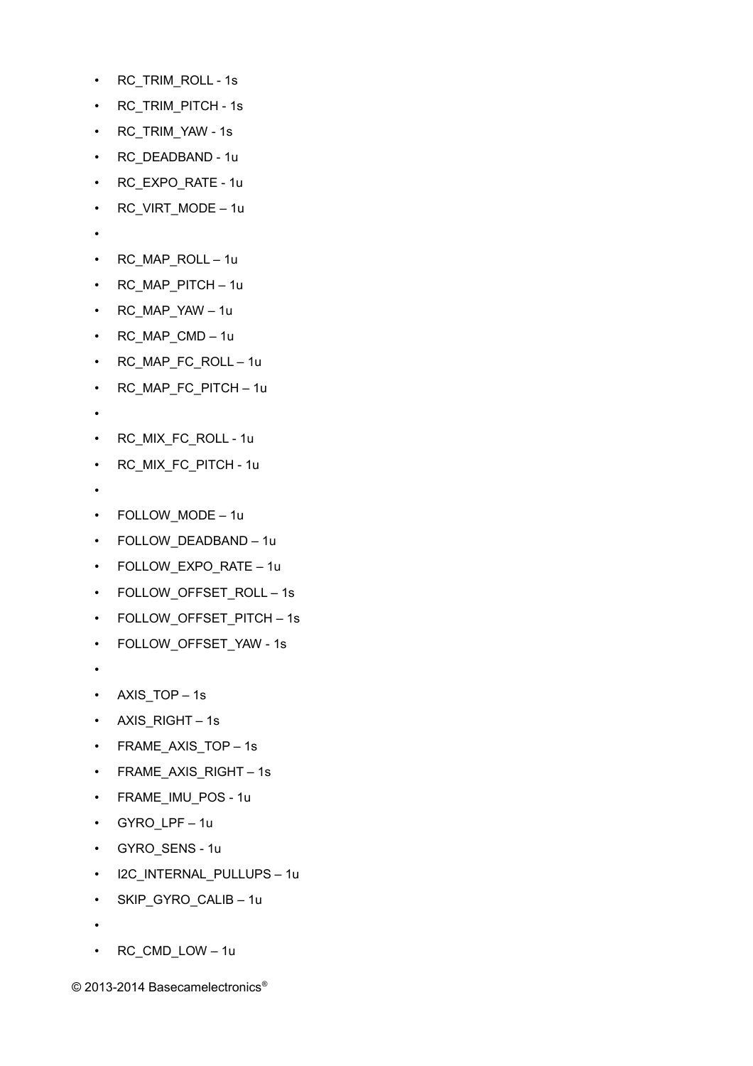- RC\_TRIM\_ROLL 1s
- RC\_TRIM\_PITCH 1s
- RC\_TRIM\_YAW 1s
- RC\_DEADBAND 1u
- RC\_EXPO\_RATE 1u
- RC\_VIRT\_MODE 1u
- •
- RC\_MAP\_ROLL 1u
- RC\_MAP\_PITCH 1u
- RC\_MAP\_YAW 1u
- RC\_MAP\_CMD 1u
- RC\_MAP\_FC\_ROLL 1u
- RC\_MAP\_FC\_PITCH 1u
- •
- RC\_MIX\_FC\_ROLL 1u
- RC\_MIX\_FC\_PITCH 1u
- •
- FOLLOW\_MODE 1u
- FOLLOW\_DEADBAND 1u
- FOLLOW\_EXPO\_RATE 1u
- FOLLOW\_OFFSET\_ROLL 1s
- FOLLOW OFFSET PITCH 1s
- FOLLOW\_OFFSET\_YAW 1s
- •
- AXIS\_TOP 1s
- AXIS RIGHT 1s
- FRAME AXIS TOP 1s
- FRAME AXIS RIGHT 1s
- FRAME\_IMU\_POS 1u
- GYRO\_LPF 1u
- GYRO\_SENS 1u
- I2C\_INTERNAL\_PULLUPS 1u
- SKIP\_GYRO\_CALIB 1u
- •
- RC\_CMD\_LOW 1u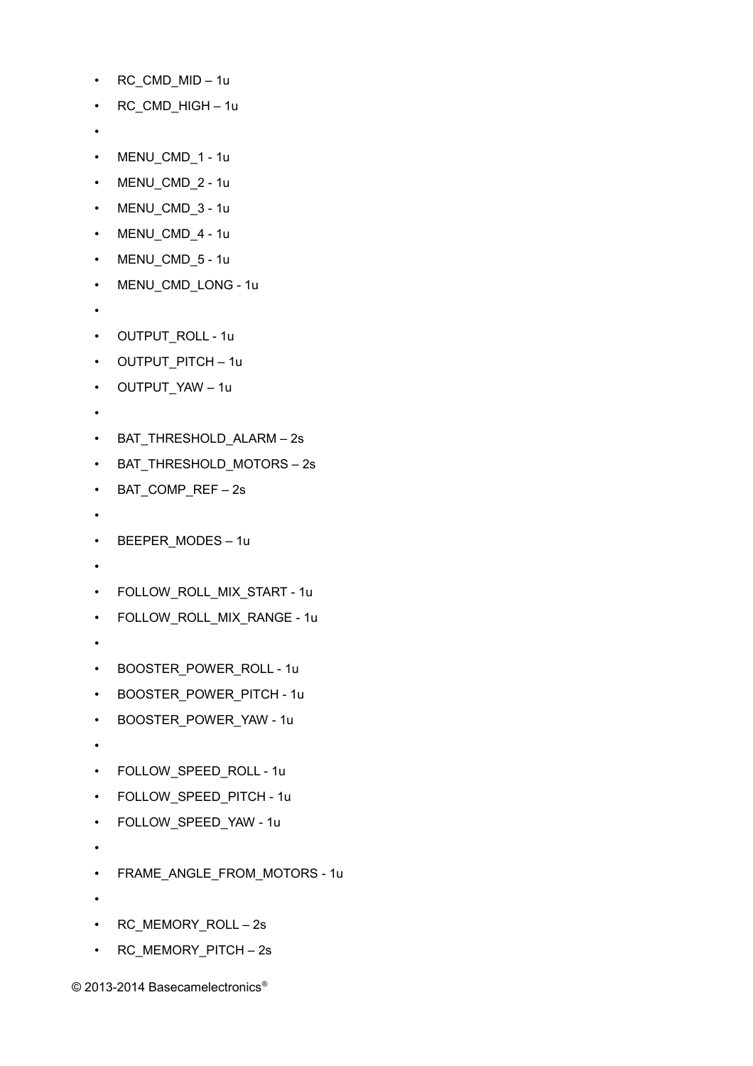- RC\_CMD\_MID 1u
- RC\_CMD\_HIGH 1u
- •
- MENU\_CMD\_1 1u
- MENU\_CMD\_2 1u
- MENU CMD 3 1u
- MENU CMD 4 1u
- MENU CMD 5 1u
- MENU CMD LONG 1u
- •
- OUTPUT\_ROLL 1u
- OUTPUT\_PITCH 1u
- OUTPUT\_YAW 1u
- •
- BAT\_THRESHOLD\_ALARM 2s
- BAT THRESHOLD MOTORS 2s
- BAT\_COMP\_REF 2s
- •
- BEEPER\_MODES 1u
- •
- FOLLOW\_ROLL\_MIX\_START 1u
- FOLLOW\_ROLL\_MIX\_RANGE 1u
- •
- BOOSTER\_POWER\_ROLL 1u
- BOOSTER POWER PITCH 1u
- BOOSTER\_POWER\_YAW 1u
- •
- FOLLOW\_SPEED\_ROLL 1u
- FOLLOW SPEED PITCH 1u
- FOLLOW\_SPEED\_YAW 1u
- •
- FRAME\_ANGLE\_FROM\_MOTORS 1u
- •
- RC\_MEMORY\_ROLL 2s
- RC\_MEMORY\_PITCH 2s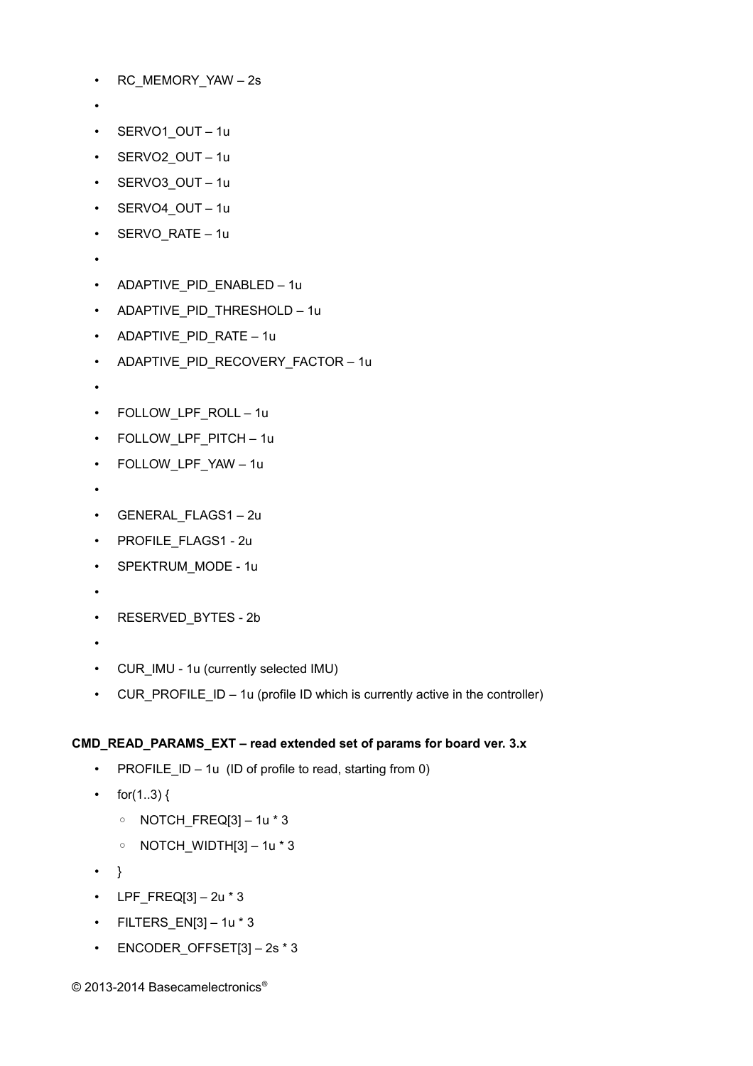- RC\_MEMORY\_YAW 2s
- •
- SERVO1\_OUT 1u
- SERVO2\_OUT 1u
- SERVO3 OUT 1u
- SERVO4 OUT 1u
- SERVO RATE 1u
- •
- ADAPTIVE PID ENABLED 1u
- ADAPTIVE\_PID\_THRESHOLD 1u
- ADAPTIVE\_PID\_RATE 1u
- ADAPTIVE\_PID\_RECOVERY\_FACTOR 1u
- •
- FOLLOW\_LPF\_ROLL 1u
- FOLLOW LPF PITCH 1u
- FOLLOW\_LPF\_YAW 1u
- •
- GENERAL\_FLAGS1 2u
- PROFILE\_FLAGS1 2u
- SPEKTRUM\_MODE 1u
- •
- RESERVED BYTES 2b
- •
- CUR\_IMU 1u (currently selected IMU)
- CUR\_PROFILE\_ID 1u (profile ID which is currently active in the controller)

#### **CMD\_READ\_PARAMS\_EXT – read extended set of params for board ver. 3.x**

- PROFILE  $ID 1u$  (ID of profile to read, starting from 0)
- for(1..3) {
	- NOTCH\_FREQ[3] 1u \* 3
	- NOTCH\_WIDTH[3] 1u \* 3
- }
- LPF\_FREQ[3]  $2u * 3$
- $\cdot$  FILTERS\_EN[3] 1u  $*$  3
- ENCODER\_OFFSET[3] 2s \* 3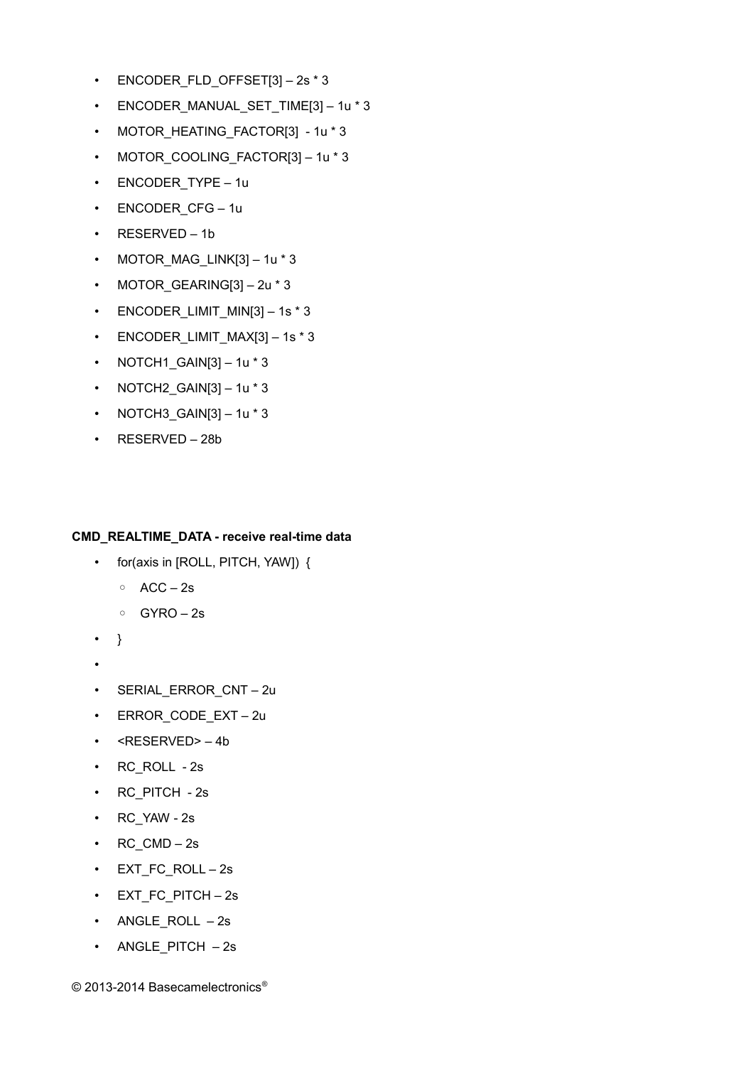- ENCODER FLD OFFSET[3] 2s \* 3
- ENCODER MANUAL SET TIME[3] 1u \* 3
- MOTOR HEATING FACTOR[3] 1u \* 3
- MOTOR\_COOLING\_FACTOR[3] 1u \* 3
- ENCODER TYPE 1u
- ENCODER CFG 1u
- RESERVED 1b
- MOTOR MAG LINK[3]  $1u * 3$
- MOTOR GEARING[3] 2u \* 3
- ENCODER\_LIMIT\_MIN[3] 1s \* 3
- ENCODER LIMIT  $MAX[3] 1s * 3$
- NOTCH1\_GAIN[3]  $-$  1u  $*$  3
- NOTCH2  $GAIN[3] 1u * 3$
- NOTCH3\_GAIN[3]  $-1u * 3$
- RESERVED 28b

#### **CMD\_REALTIME\_DATA - receive real-time data**

- for(axis in [ROLL, PITCH, YAW]) {
	- ACC 2s
	- GYRO 2s
- }
- •
- SERIAL\_ERROR\_CNT 2u
- ERROR\_CODE\_EXT 2u
- <RESERVED> 4b
- RC\_ROLL 2s
- RC\_PITCH 2s
- RC\_YAW 2s
- RC  $CMD 2s$
- EXT FC ROLL 2s
- EXT\_FC\_PITCH 2s
- ANGLE ROLL  $-2s$
- ANGLE PITCH 2s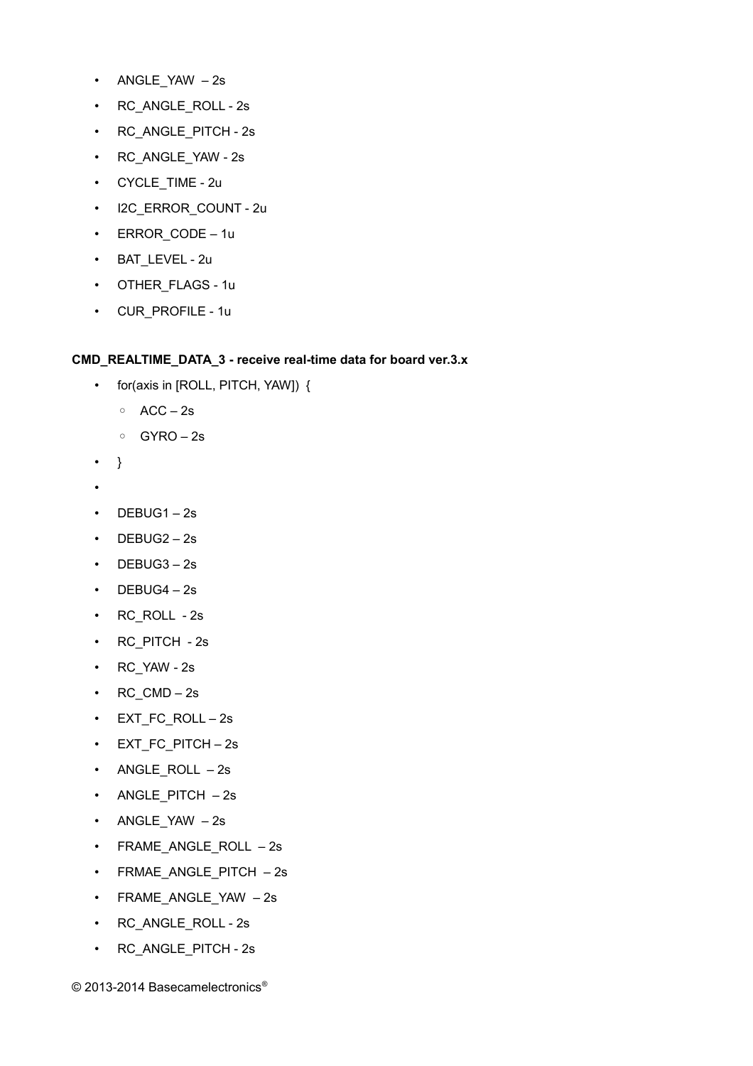- ANGLE\_YAW 2s
- RC ANGLE ROLL 2s
- RC\_ANGLE\_PITCH 2s
- RC\_ANGLE\_YAW 2s
- CYCLE\_TIME 2u
- I2C\_ERROR\_COUNT 2u
- ERROR\_CODE 1u
- BAT LEVEL 2u
- OTHER FLAGS 1u
- CUR\_PROFILE 1u

#### **CMD\_REALTIME\_DATA\_3 - receive real-time data for board ver.3.x**

- for(axis in [ROLL, PITCH, YAW]) {
	- ACC 2s
	- GYRO 2s
- }
- •
- $\cdot$  DEBUG1-2s
- DEBUG2 2s
- DEBUG3 2s
- $\cdot$  DEBUG4 2s
- RC\_ROLL 2s
- RC\_PITCH 2s
- RC\_YAW 2s
- $RC\_CMD 2s$
- EXT\_FC\_ROLL 2s
- EXT\_FC\_PITCH 2s
- ANGLE\_ROLL 2s
- ANGLE\_PITCH 2s
- ANGLE\_YAW 2s
- FRAME\_ANGLE\_ROLL 2s
- FRMAE\_ANGLE\_PITCH 2s
- FRAME\_ANGLE\_YAW 2s
- RC\_ANGLE\_ROLL 2s
- RC\_ANGLE\_PITCH 2s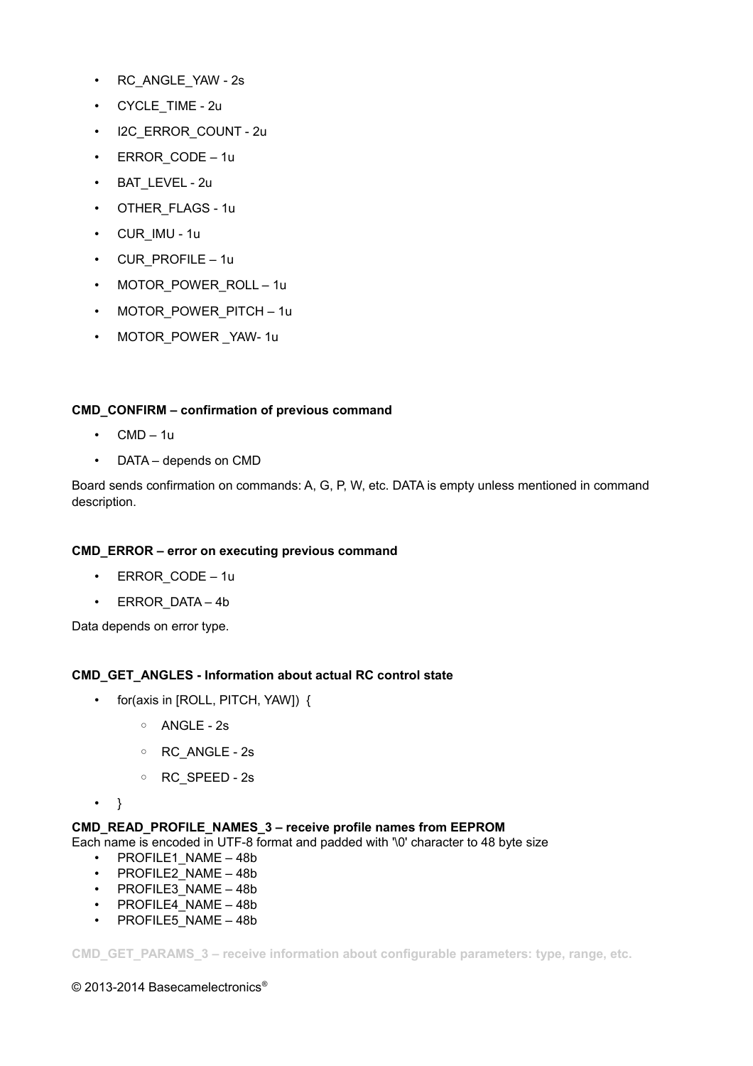- RC\_ANGLE\_YAW 2s
- CYCLE TIME 2u
- I2C\_ERROR\_COUNT 2u
- ERROR\_CODE 1u
- BAT LEVEL 2u
- OTHER FLAGS 1u
- CUR\_IMU 1u
- CUR\_PROFILE 1u
- MOTOR POWER ROLL 1u
- MOTOR POWER PITCH 1u
- MOTOR POWER YAW- 1u

#### **CMD\_CONFIRM – confirmation of previous command**

- $\cdot$  CMD 1u
- DATA depends on CMD

Board sends confirmation on commands: A, G, P, W, etc. DATA is empty unless mentioned in command description.

#### **CMD\_ERROR – error on executing previous command**

- ERROR CODE 1u
- ERROR\_DATA 4b

Data depends on error type.

#### **CMD\_GET\_ANGLES - Information about actual RC control state**

- for(axis in [ROLL, PITCH, YAW]) {
	- ANGLE 2s
	- RC\_ANGLE 2s
	- RC\_SPEED 2s
- }

#### **CMD\_READ\_PROFILE\_NAMES\_3 – receive profile names from EEPROM**

Each name is encoded in UTF-8 format and padded with '\0' character to 48 byte size

- PROFILE1 NAME 48b
- PROFILE2\_NAME 48b
- PROFILE3\_NAME 48b
- PROFILE4 NAME 48b
- PROFILE5 NAME 48b

**CMD\_GET\_PARAMS\_3 – receive information about configurable parameters: type, range, etc.**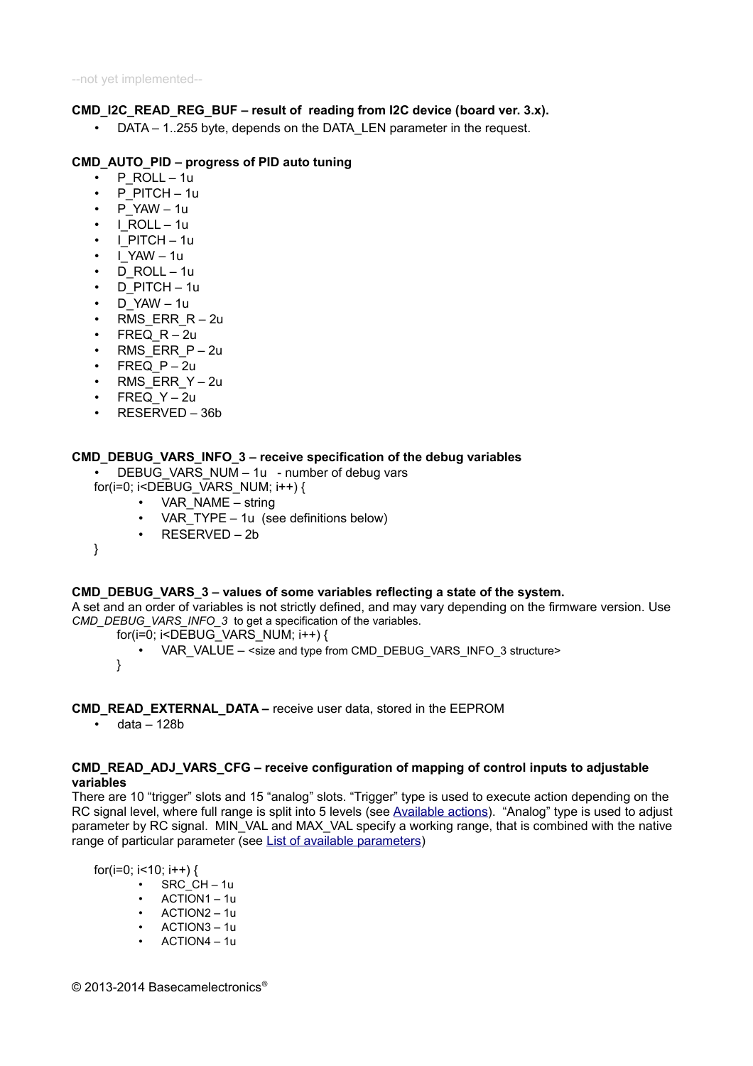#### **CMD\_I2C\_READ\_REG\_BUF – result of reading from I2C device (board ver. 3.x).**

• DATA – 1..255 byte, depends on the DATA\_LEN parameter in the request.

#### **CMD\_AUTO\_PID – progress of PID auto tuning**

- P $ROLL 1u$
- P\_PITCH 1u
- P $YAW 1u$
- $\cdot$  | ROLL 1u
- I\_PITCH 1u
- I\_YAW 1u
- D\_ROLL 1u
- $\cdot$  D PITCH 1u
- D\_YAW 1u
- RMS\_ERR\_R 2u
- $F$ REQ  $R 2u$
- RMS\_ERR\_P-2u
- $F$ REQ  $P 2u$
- RMS ERR Y 2u
- FREQ  $Y 2u$
- RESERVED 36b

#### **CMD\_DEBUG\_VARS\_INFO\_3 – receive specification of the debug variables**

- DEBUG VARS NUM 1u number of debug vars
- for(i=0; i<DEBUG\_VARS\_NUM; i++) {
	- VAR\_NAME string
	- VAR\_TYPE 1u (see definitions below)
	- RESERVED 2b
- }

#### **CMD\_DEBUG\_VARS\_3 – values of some variables reflecting a state of the system.**

A set and an order of variables is not strictly defined, and may vary depending on the firmware version. Use *CMD\_DEBUG\_VARS\_INFO\_3* to get a specification of the variables.

- for(i=0; i<DEBUG\_VARS\_NUM; i++) {
	- VAR\_VALUE <size and type from CMD\_DEBUG\_VARS\_INFO\_3 structure>

}

#### **CMD\_READ\_EXTERNAL\_DATA –** receive user data, stored in the EEPROM

 $\cdot$  data – 128b

#### **CMD\_READ\_ADJ\_VARS\_CFG – receive configuration of mapping of control inputs to adjustable variables**

There are 10 "trigger" slots and 15 "analog" slots. "Trigger" type is used to execute action depending on the RC signal level, where full range is split into 5 levels (see [Available actions\)](#page-22-0). "Analog" type is used to adjust parameter by RC signal. MIN\_VAL and MAX\_VAL specify a working range, that is combined with the native range of particular parameter (see [List of available parameters\)](#page-33-0)

for( $i=0$ ;  $i<10$ ;  $i++$ ) {

- SRC CH 1u
- ACTION1 1u
- ACTION2 1u
- ACTION3 1u
- ACTION4 1u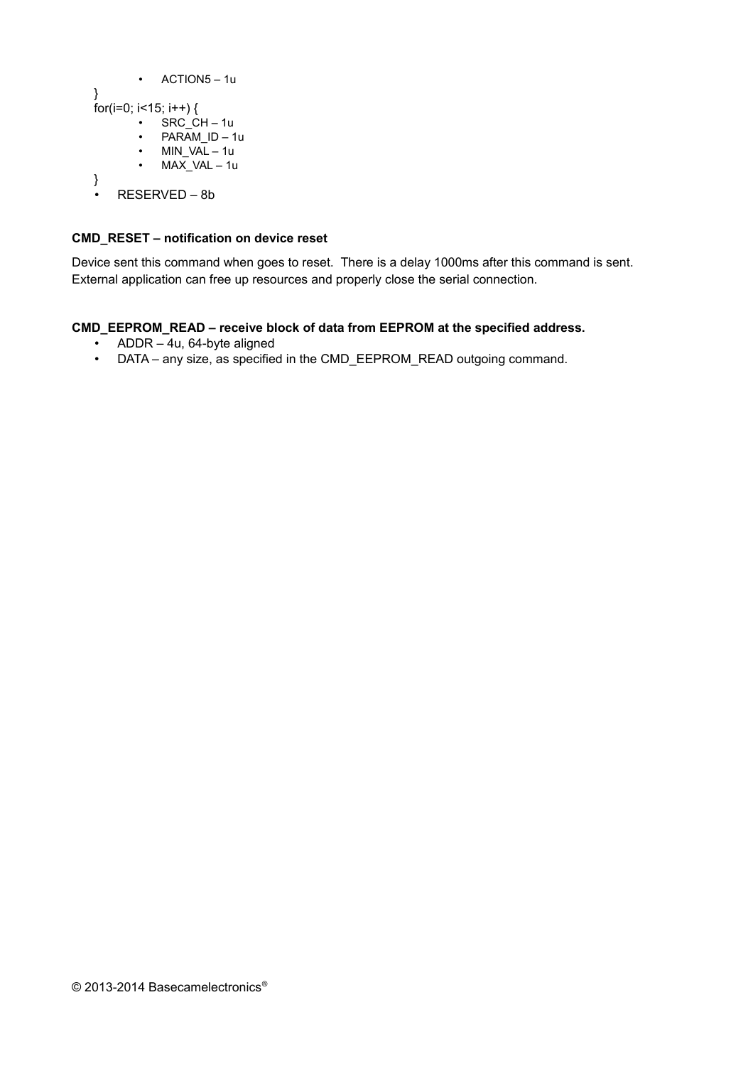```
• ACTION5 – 1u
}
for(i=0; i<15; i++) {
       \cdot SRC_CH – 1u
           • PARAM_ID – 1u
       • MIN VAL - 1uMAX VAL – 1u
}
\cdot RESERVED – 8b
```
#### **CMD\_RESET – notification on device reset**

Device sent this command when goes to reset. There is a delay 1000ms after this command is sent. External application can free up resources and properly close the serial connection.

#### **CMD\_EEPROM\_READ – receive block of data from EEPROM at the specified address.**

- ADDR 4u, 64-byte aligned
- DATA any size, as specified in the CMD\_EEPROM\_READ outgoing command.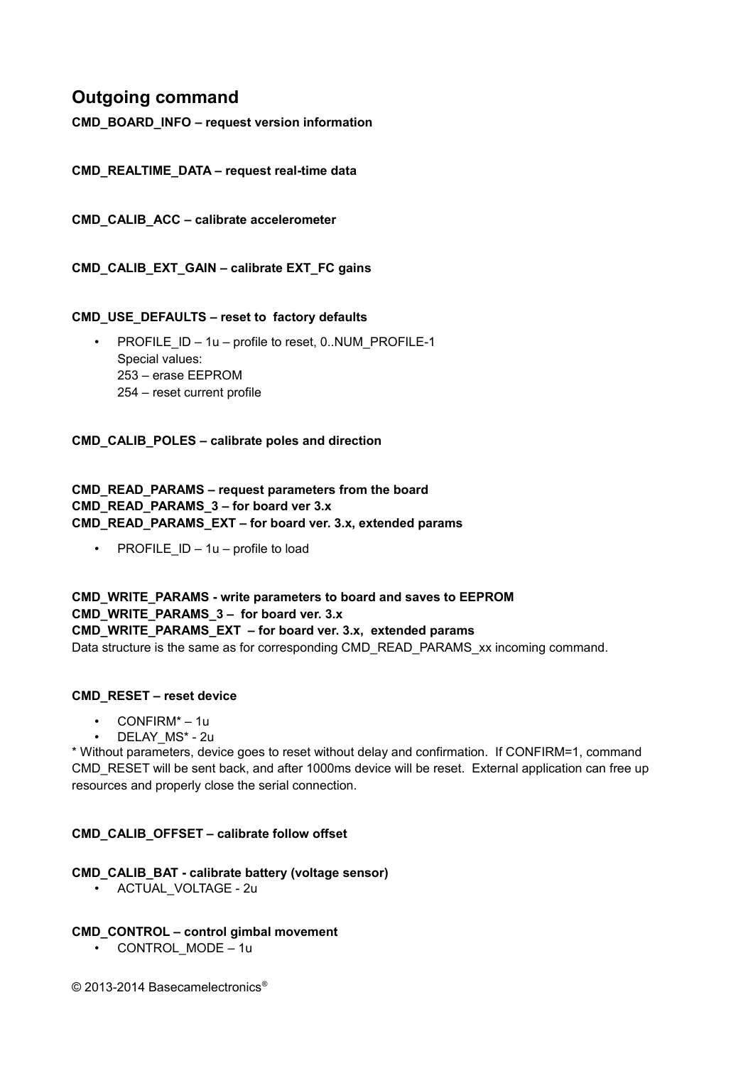## **Outgoing command**

**CMD\_BOARD\_INFO – request version information**

**CMD\_REALTIME\_DATA – request real-time data**

**CMD\_CALIB\_ACC – calibrate accelerometer**

**CMD\_CALIB\_EXT\_GAIN – calibrate EXT\_FC gains**

#### **CMD\_USE\_DEFAULTS – reset to factory defaults**

PROFILE\_ID – 1u – profile to reset, 0..NUM\_PROFILE-1 Special values: 253 – erase EEPROM 254 – reset current profile

**CMD\_CALIB\_POLES – calibrate poles and direction**

#### **CMD\_READ\_PARAMS – request parameters from the board CMD\_READ\_PARAMS\_3 – for board ver 3.x CMD\_READ\_PARAMS\_EXT – for board ver. 3.x, extended params**

• PROFILE  $ID - 1u - profile to load$ 

**CMD\_WRITE\_PARAMS - write parameters to board and saves to EEPROM CMD\_WRITE\_PARAMS\_3 – for board ver. 3.x CMD\_WRITE\_PARAMS\_EXT – for board ver. 3.x, extended params** Data structure is the same as for corresponding CMD\_READ\_PARAMS\_xx incoming command.

#### **CMD\_RESET – reset device**

- CONFIRM\* 1u
- DELAY\_MS\* 2u

\* Without parameters, device goes to reset without delay and confirmation. If CONFIRM=1, command CMD\_RESET will be sent back, and after 1000ms device will be reset. External application can free up resources and properly close the serial connection.

#### **CMD\_CALIB\_OFFSET – calibrate follow offset**

#### **CMD\_CALIB\_BAT - calibrate battery (voltage sensor)**

• ACTUAL\_VOLTAGE - 2u

#### **CMD\_CONTROL – control gimbal movement**

• CONTROL MODE – 1u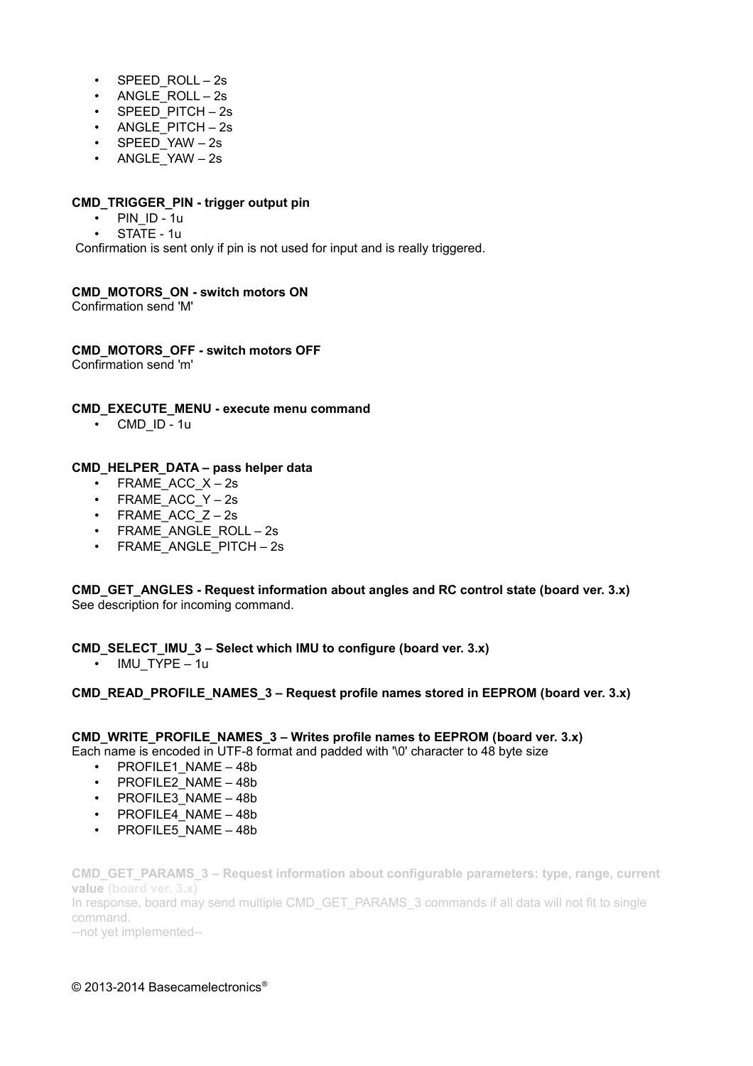- $\cdot$  SPEED ROLL 2s
- ANGLE ROLL 2s
- SPEED PITCH 2s
- ANGLE\_PITCH 2s
- SPEED\_YAW 2s
- ANGLE\_YAW 2s

#### **CMD\_TRIGGER\_PIN - trigger output pin**

- PIN ID 1u
- STATE 1u

Confirmation is sent only if pin is not used for input and is really triggered.

#### **CMD\_MOTORS\_ON - switch motors ON**

Confirmation send 'M'

**CMD\_MOTORS\_OFF - switch motors OFF**

Confirmation send 'm'

**CMD\_EXECUTE\_MENU - execute menu command**

• CMD\_ID - 1u

#### **CMD\_HELPER\_DATA – pass helper data**

- FRAME\_ACC\_X 2s
- FRAME\_ACC\_Y 2s
- FRAME ACC  $Z 2s$
- FRAME\_ANGLE\_ROLL 2s
- FRAME\_ANGLE\_PITCH 2s

**CMD\_GET\_ANGLES - Request information about angles and RC control state (board ver. 3.x)** See description for incoming command.

**CMD\_SELECT\_IMU\_3 – Select which IMU to configure (board ver. 3.x)**

• IMU TYPE – 1u

#### **CMD\_READ\_PROFILE\_NAMES\_3 – Request profile names stored in EEPROM (board ver. 3.x)**

### **CMD\_WRITE\_PROFILE\_NAMES\_3 – Writes profile names to EEPROM (board ver. 3.x)**

Each name is encoded in UTF-8 format and padded with '\0' character to 48 byte size

- PROFILE1 NAME 48b
- PROFILE2\_NAME 48b
- PROFILE3 NAME 48b
- PROFILE4 NAME 48b
- PROFILE5 NAME 48b

**CMD\_GET\_PARAMS\_3 – Request information about configurable parameters: type, range, current value (board ver. 3.x)** In response, board may send multiple CMD\_GET\_PARAMS\_3 commands if all data will not fit to single command.

--not yet implemented--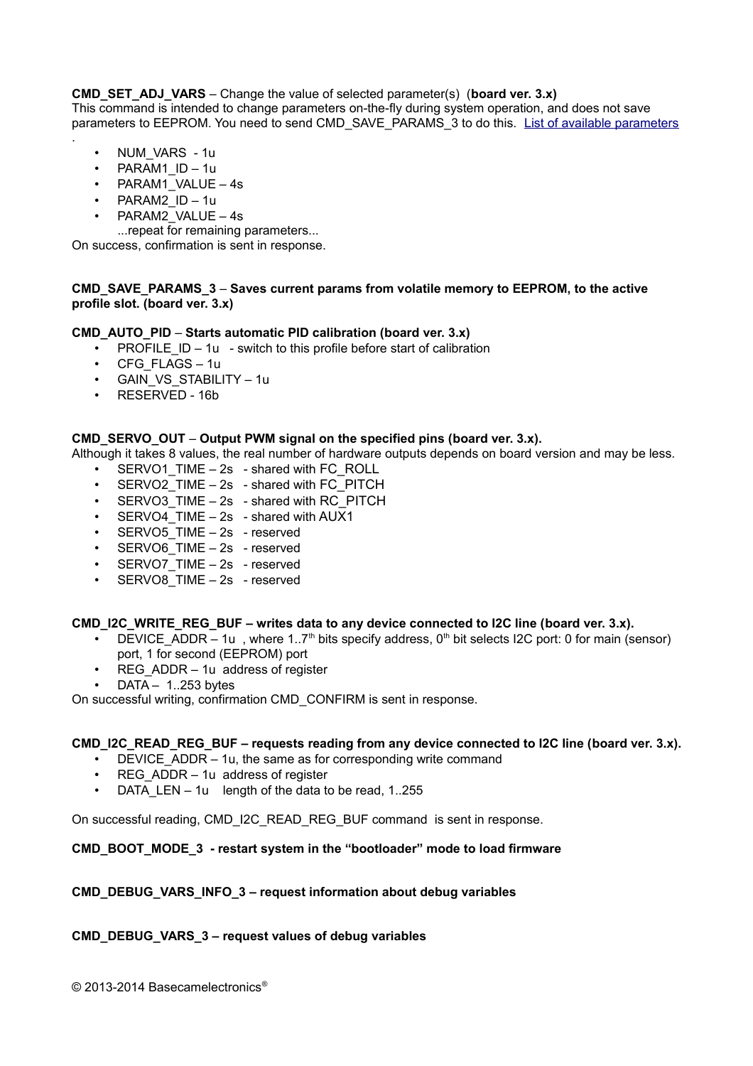**CMD\_SET\_ADJ\_VARS** – Change the value of selected parameter(s) (**board ver. 3.x)**

This command is intended to change parameters on-the-fly during system operation, and does not save parameters to EEPROM. You need to send CMD\_SAVE\_PARAMS\_3 to do this. [List of available parameters](#page-33-0) .

- NUM\_VARS 1u
- PARAM1\_ID 1u
- PARAM1\_VALUE 4s
- PARAM2\_ID 1u
- PARAM2\_VALUE 4s
- ...repeat for remaining parameters...

On success, confirmation is sent in response.

#### **CMD\_SAVE\_PARAMS\_3** – **Saves current params from volatile memory to EEPROM, to the active profile slot. (board ver. 3.x)**

#### **CMD\_AUTO\_PID** – **Starts automatic PID calibration (board ver. 3.x)**

- **PROFILE**  $ID 1u switch to this profile before start of calibration$
- CFG\_FLAGS 1u
- GAIN VS STABILITY 1u
- RESERVED 16b

#### **CMD\_SERVO\_OUT** – **Output PWM signal on the specified pins (board ver. 3.x).**

Although it takes 8 values, the real number of hardware outputs depends on board version and may be less.

- SERVO1\_TIME 2s shared with FC\_ROLL
- SERVO2\_TIME 2s shared with FC\_PITCH
- SERVO3 TIME 2s shared with RC\_PITCH
- SERVO4\_TIME 2s shared with AUX1
- SERVO5\_TIME 2s reserved
- SERVO6\_TIME 2s reserved
- SERVO7 TIME 2s reserved
- SERVO8 TIME 2s reserved

#### CMD\_I2C\_WRITE\_REG\_BUF – writes data to any device connected to I2C line (board ver. 3.x).

- DEVICE ADDR 1u, where 1..7<sup>th</sup> bits specify address, 0<sup>th</sup> bit selects I2C port: 0 for main (sensor) port, 1 for second (EEPROM) port
- REG ADDR 1u address of register
- $DATA 1.253$  bytes

On successful writing, confirmation CMD\_CONFIRM is sent in response.

#### **CMD\_I2C\_READ\_REG\_BUF – requests reading from any device connected to I2C line (board ver. 3.x).**

- DEVICE\_ADDR 1u, the same as for corresponding write command
- REG  $ADDR 1u$  address of register
- DATA LEN 1u length of the data to be read, 1..255

On successful reading, CMD\_I2C\_READ\_REG\_BUF command is sent in response.

#### **CMD\_BOOT\_MODE\_3 - restart system in the "bootloader" mode to load firmware**

#### **CMD\_DEBUG\_VARS\_INFO\_3 – request information about debug variables**

#### **CMD\_DEBUG\_VARS\_3 – request values of debug variables**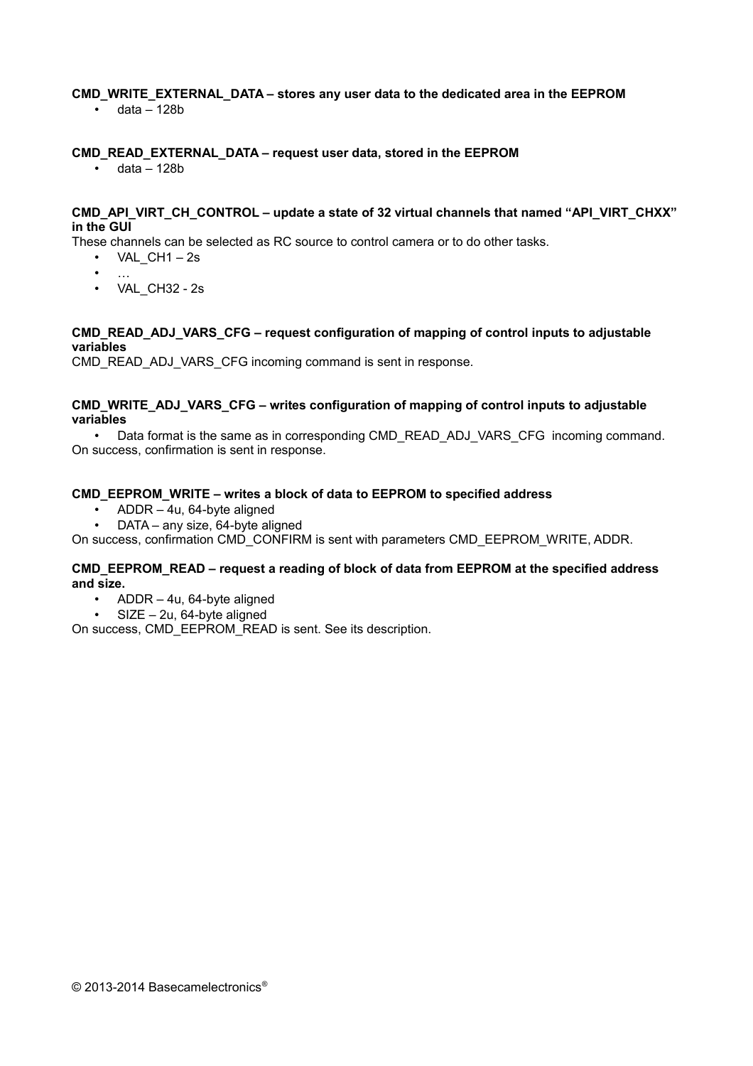#### **CMD\_WRITE\_EXTERNAL\_DATA – stores any user data to the dedicated area in the EEPROM**

• data – 128b

#### **CMD\_READ\_EXTERNAL\_DATA – request user data, stored in the EEPROM**

 $\cdot$  data – 128b

#### **CMD\_API\_VIRT\_CH\_CONTROL – update a state of 32 virtual channels that named "API\_VIRT\_CHXX" in the GUI**

These channels can be selected as RC source to control camera or to do other tasks.

- VAL  $CH1 2s$
- …
- VAL\_CH32 2s

#### **CMD\_READ\_ADJ\_VARS\_CFG – request configuration of mapping of control inputs to adjustable variables**

CMD\_READ\_ADJ\_VARS\_CFG incoming command is sent in response.

#### **CMD\_WRITE\_ADJ\_VARS\_CFG – writes configuration of mapping of control inputs to adjustable variables**

• Data format is the same as in corresponding CMD\_READ\_ADJ\_VARS\_CFG\_incoming command. On success, confirmation is sent in response.

#### **CMD\_EEPROM\_WRITE – writes a block of data to EEPROM to specified address**

- ADDR 4u, 64-byte aligned
- DATA any size, 64-byte aligned

On success, confirmation CMD\_CONFIRM is sent with parameters CMD\_EEPROM\_WRITE, ADDR.

#### **CMD\_EEPROM\_READ – request a reading of block of data from EEPROM at the specified address and size.**

- ADDR 4u, 64-byte aligned
- SIZE 2u, 64-byte aligned

On success, CMD\_EEPROM\_READ is sent. See its description.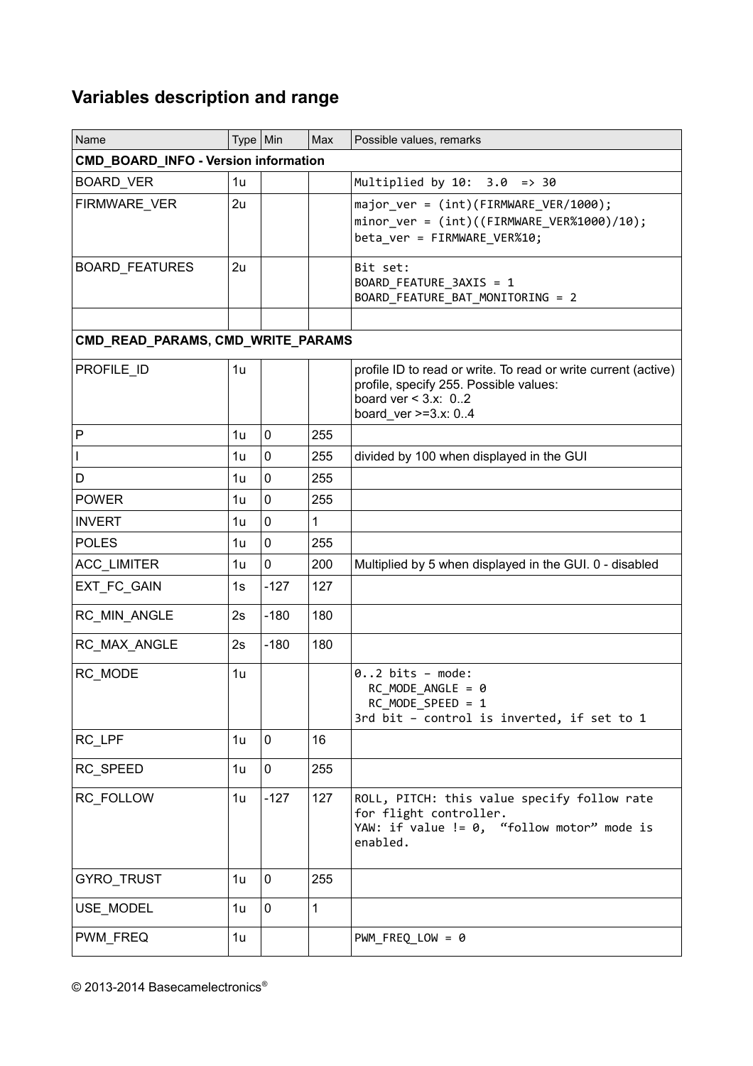## **Variables description and range**

| Name                              | Type   Min                           |             | Max          | Possible values, remarks                                                                                                                                    |  |  |  |  |
|-----------------------------------|--------------------------------------|-------------|--------------|-------------------------------------------------------------------------------------------------------------------------------------------------------------|--|--|--|--|
|                                   | CMD_BOARD_INFO - Version information |             |              |                                                                                                                                                             |  |  |  |  |
| <b>BOARD_VER</b>                  | 1u                                   |             |              | Multiplied by $10: 3.0 \Rightarrow 30$                                                                                                                      |  |  |  |  |
| FIRMWARE_VER                      | 2u                                   |             |              | major_ver = (int)(FIRMWARE_VER/1000);<br>minor ver = $(int)((FIRMWARE VER%1000)/10);$<br>beta_ver = FIRMWARE_VER%10;                                        |  |  |  |  |
| <b>BOARD_FEATURES</b>             | 2u                                   |             |              | Bit set:<br>BOARD_FEATURE_3AXIS = 1<br>BOARD_FEATURE_BAT_MONITORING = 2                                                                                     |  |  |  |  |
| CMD_READ_PARAMS, CMD_WRITE_PARAMS |                                      |             |              |                                                                                                                                                             |  |  |  |  |
| PROFILE_ID                        | 1u                                   |             |              | profile ID to read or write. To read or write current (active)<br>profile, specify 255. Possible values:<br>board ver $<$ 3.x: 02<br>board ver $>=3.x: 0.4$ |  |  |  |  |
| P                                 | 1u                                   | $\mathbf 0$ | 255          |                                                                                                                                                             |  |  |  |  |
| T                                 | 1u                                   | $\mathbf 0$ | 255          | divided by 100 when displayed in the GUI                                                                                                                    |  |  |  |  |
| D                                 | 1u                                   | $\pmb{0}$   | 255          |                                                                                                                                                             |  |  |  |  |
| <b>POWER</b>                      | 1u                                   | $\mathbf 0$ | 255          |                                                                                                                                                             |  |  |  |  |
| <b>INVERT</b>                     | 1u                                   | $\mathbf 0$ | $\mathbf{1}$ |                                                                                                                                                             |  |  |  |  |
| <b>POLES</b>                      | 1u                                   | $\pmb{0}$   | 255          |                                                                                                                                                             |  |  |  |  |
| ACC_LIMITER                       | 1u                                   | 0           | 200          | Multiplied by 5 when displayed in the GUI. 0 - disabled                                                                                                     |  |  |  |  |
| EXT_FC_GAIN                       | 1s                                   | $-127$      | 127          |                                                                                                                                                             |  |  |  |  |
| RC_MIN_ANGLE                      | 2s                                   | $-180$      | 180          |                                                                                                                                                             |  |  |  |  |
| RC_MAX_ANGLE                      | 2s                                   | $-180$      | 180          |                                                                                                                                                             |  |  |  |  |
| RC_MODE                           | 1u                                   |             |              | $02$ bits - mode:<br>RC MODE ANGLE = $\theta$<br>$RC_MODE_SPEED = 1$<br>3rd bit - control is inverted, if set to 1                                          |  |  |  |  |
| RC LPF                            | 1u                                   | 0           | 16           |                                                                                                                                                             |  |  |  |  |
| RC_SPEED                          | 1u                                   | 0           | 255          |                                                                                                                                                             |  |  |  |  |
| RC_FOLLOW                         | 1u                                   | $-127$      | 127          | ROLL, PITCH: this value specify follow rate<br>for flight controller.<br>YAW: if value != 0, "follow motor" mode is<br>enabled.                             |  |  |  |  |
| GYRO_TRUST                        | 1u                                   | 0           | 255          |                                                                                                                                                             |  |  |  |  |
| USE_MODEL                         | 1u                                   | 0           | $\mathbf{1}$ |                                                                                                                                                             |  |  |  |  |
| PWM_FREQ                          | 1u                                   |             |              | $PWM_FREG_LOW = 0$                                                                                                                                          |  |  |  |  |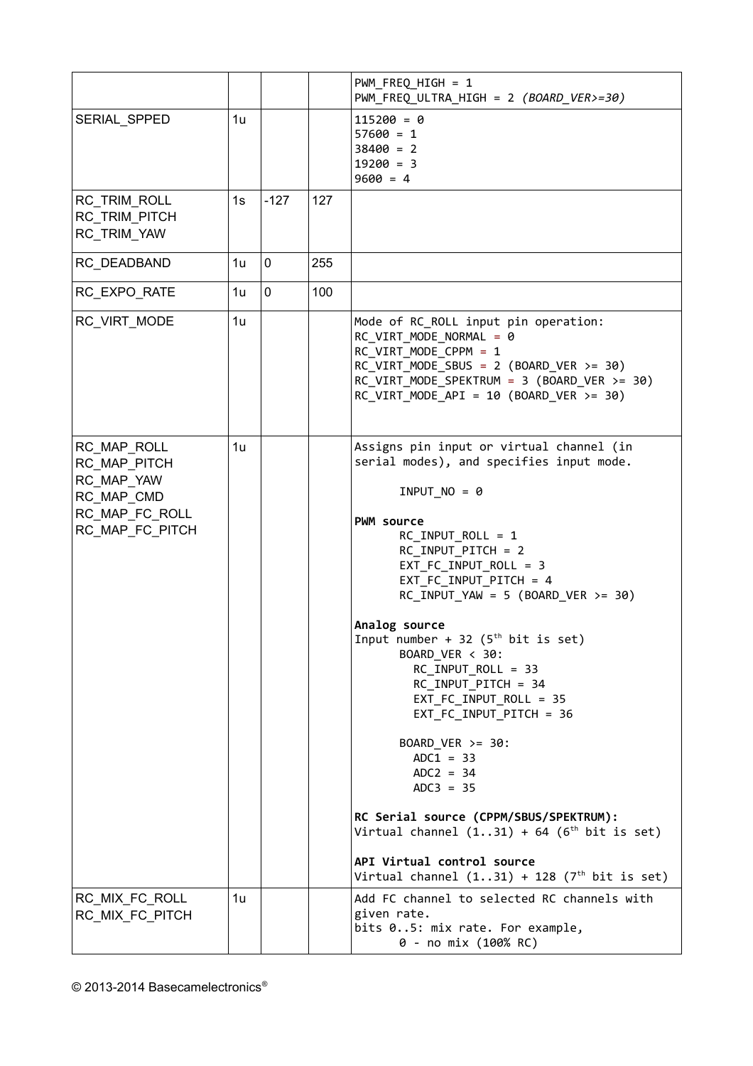|                                                                                              |                |        |     | PWM_FREQ_HIGH = 1<br>PWM_FREQ_ULTRA_HIGH = 2 (BOARD_VER>=30)                                                                                                                                                                                                                                                                                                                                                                                                                                                                                                                                                                                                                                           |
|----------------------------------------------------------------------------------------------|----------------|--------|-----|--------------------------------------------------------------------------------------------------------------------------------------------------------------------------------------------------------------------------------------------------------------------------------------------------------------------------------------------------------------------------------------------------------------------------------------------------------------------------------------------------------------------------------------------------------------------------------------------------------------------------------------------------------------------------------------------------------|
| SERIAL_SPPED                                                                                 | 1u             |        |     | $115200 = 0$<br>$57600 = 1$<br>$38400 = 2$<br>$19200 = 3$<br>$9600 = 4$                                                                                                                                                                                                                                                                                                                                                                                                                                                                                                                                                                                                                                |
| RC_TRIM_ROLL<br>RC TRIM PITCH<br>RC_TRIM_YAW                                                 | 1s             | $-127$ | 127 |                                                                                                                                                                                                                                                                                                                                                                                                                                                                                                                                                                                                                                                                                                        |
| RC_DEADBAND                                                                                  | 1 <sub>u</sub> | 0      | 255 |                                                                                                                                                                                                                                                                                                                                                                                                                                                                                                                                                                                                                                                                                                        |
| RC_EXPO_RATE                                                                                 | 1u             | 0      | 100 |                                                                                                                                                                                                                                                                                                                                                                                                                                                                                                                                                                                                                                                                                                        |
| RC_VIRT_MODE                                                                                 | 1 <sub>u</sub> |        |     | Mode of RC_ROLL input pin operation:<br>RC VIRT MODE NORMAL = 0<br>RC VIRT MODE CPPM = 1<br>$RC_VIRT_MODE_SBUS = 2 (BOARD_VER >= 30)$<br>$RC_VIRT_MODE_SPEKTRUM = 3 (BOARD_VER >= 30)$<br>RC VIRT MODE API = 10 (BOARD VER $>=$ 30)                                                                                                                                                                                                                                                                                                                                                                                                                                                                    |
| RC_MAP_ROLL<br>RC_MAP_PITCH<br>RC_MAP_YAW<br>RC_MAP_CMD<br>RC MAP FC ROLL<br>RC_MAP_FC_PITCH | 1u             |        |     | Assigns pin input or virtual channel (in<br>serial modes), and specifies input mode.<br>$INPUTNO = 0$<br><b>PWM source</b><br>$RC_$ INPUT_ROLL = 1<br>RC_INPUT_PITCH = 2<br>$EXT_FC_INPUT_ROLL = 3$<br>EXT_FC_INPUT_PITCH = 4<br>$RC\_INPUT_YAW = 5 (BOARD_VER >= 30)$<br>Analog source<br>Input number + 32 ( $5th$ bit is set)<br>BOARD_VER < 30:<br>RC INPUT ROLL = 33<br>RC_INPUT_PITCH = 34<br>$EXT$ FC_INPUT_ROLL = 35<br>EXT_FC_INPUT_PITCH = 36<br>BOARD_VER >= 30:<br>$ADC1 = 33$<br>$ADC = 34$<br>$ADC3 = 35$<br>RC Serial source (CPPM/SBUS/SPEKTRUM):<br>Virtual channel $(131) + 64$ $(6th bit is set)$<br>API Virtual control source<br>Virtual channel $(131) + 128$ $(7th$ bit is set) |
| RC_MIX_FC_ROLL<br>RC_MIX_FC_PITCH                                                            | 1u             |        |     | Add FC channel to selected RC channels with<br>given rate.<br>bits 05: mix rate. For example,<br>0 - no mix (100% RC)                                                                                                                                                                                                                                                                                                                                                                                                                                                                                                                                                                                  |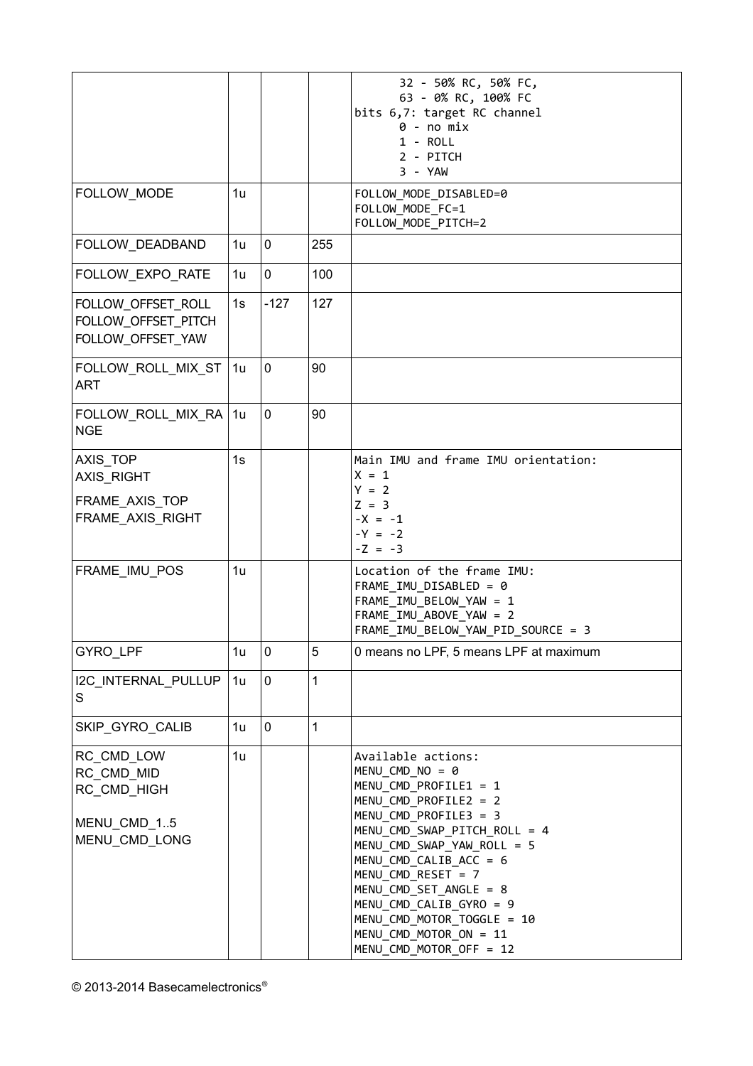<span id="page-22-0"></span>

|                                                                         |                |        |              | 32 - 50% RC, 50% FC,<br>63 - 0% RC, 100% FC<br>bits 6,7: target RC channel<br>$0 - no mix$<br>$1 - ROLL$<br>2 - PITCH<br>$3 - YAW$                                                                                                                                                                                                                                            |
|-------------------------------------------------------------------------|----------------|--------|--------------|-------------------------------------------------------------------------------------------------------------------------------------------------------------------------------------------------------------------------------------------------------------------------------------------------------------------------------------------------------------------------------|
| FOLLOW_MODE                                                             | 1u             |        |              | FOLLOW_MODE_DISABLED=0<br>FOLLOW_MODE_FC=1<br>FOLLOW MODE PITCH=2                                                                                                                                                                                                                                                                                                             |
| FOLLOW_DEADBAND                                                         | 1u             | 0      | 255          |                                                                                                                                                                                                                                                                                                                                                                               |
| FOLLOW_EXPO_RATE                                                        | 1u             | 0      | 100          |                                                                                                                                                                                                                                                                                                                                                                               |
| FOLLOW_OFFSET_ROLL<br>FOLLOW OFFSET PITCH<br>FOLLOW_OFFSET_YAW          | 1s             | $-127$ | 127          |                                                                                                                                                                                                                                                                                                                                                                               |
| FOLLOW ROLL MIX ST<br><b>ART</b>                                        | 1u             | 0      | 90           |                                                                                                                                                                                                                                                                                                                                                                               |
| FOLLOW_ROLL_MIX_RA<br><b>NGE</b>                                        | 1u             | 0      | 90           |                                                                                                                                                                                                                                                                                                                                                                               |
| AXIS TOP<br><b>AXIS RIGHT</b><br>FRAME_AXIS_TOP<br>FRAME_AXIS_RIGHT     | 1s             |        |              | Main IMU and frame IMU orientation:<br>$X = 1$<br>$Y = 2$<br>$Z = 3$<br>$-X = -1$                                                                                                                                                                                                                                                                                             |
|                                                                         |                |        |              | $-Y = -2$<br>$-Z = -3$                                                                                                                                                                                                                                                                                                                                                        |
| FRAME_IMU_POS                                                           | 1u             |        |              | Location of the frame IMU:<br>FRAME IMU DISABLED = 0<br>FRAME_IMU_BELOW_YAW = 1<br>FRAME IMU ABOVE YAW = 2<br>FRAME IMU BELOW YAW PID SOURCE = 3                                                                                                                                                                                                                              |
| GYRO_LPF                                                                | 1 <sub>u</sub> | 0      | 5            | 0 means no LPF, 5 means LPF at maximum                                                                                                                                                                                                                                                                                                                                        |
| I2C_INTERNAL_PULLUP<br>S                                                | 1 <sub>u</sub> | 0      | $\mathbf{1}$ |                                                                                                                                                                                                                                                                                                                                                                               |
| SKIP_GYRO_CALIB                                                         | 1u             | 0      | $\mathbf{1}$ |                                                                                                                                                                                                                                                                                                                                                                               |
| RC_CMD_LOW<br>RC_CMD_MID<br>RC_CMD_HIGH<br>MENU_CMD_15<br>MENU_CMD_LONG | 1u             |        |              | Available actions:<br>MENU CMD NO = $\theta$<br>MENU CMD PROFILE1 = 1<br>MENU CMD PROFILE2 = 2<br>MENU_CMD_PROFILE3 = 3<br>MENU_CMD_SWAP_PITCH_ROLL = 4<br>MENU_CMD_SWAP_YAW_ROLL = 5<br>MENU_CMD_CALIB_ACC = 6<br>MENU_CMD_RESET = 7<br>MENU_CMD_SET_ANGLE = 8<br>MENU_CMD_CALIB_GYRO = 9<br>MENU_CMD_MOTOR_TOGGLE = 10<br>MENU CMD MOTOR ON = 11<br>MENU_CMD_MOTOR_OFF = 12 |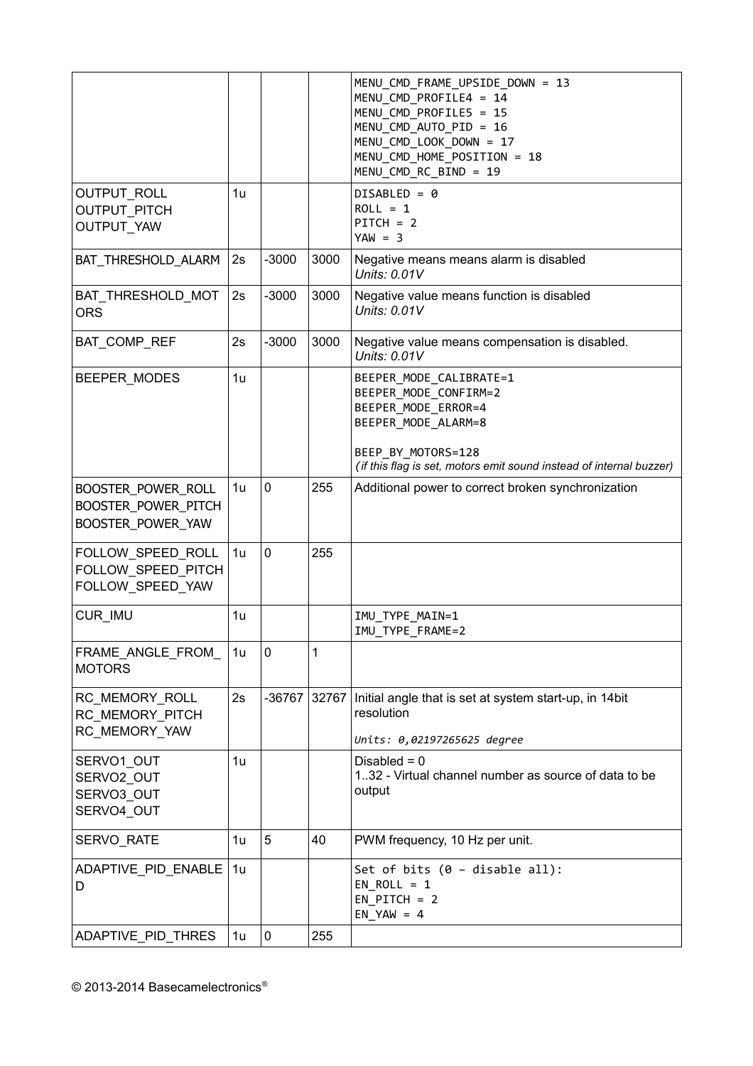|                                                                |    |             |       | MENU_CMD_FRAME_UPSIDE_DOWN = 13<br>MENU CMD PROFILE4 = 14<br>MENU CMD PROFILE5 = 15<br>MENU CMD AUTO PID = 16<br>MENU_CMD_LOOK_DOWN = 17<br>MENU CMD HOME POSITION = 18<br>MENU_CMD_RC_BIND = 19 |
|----------------------------------------------------------------|----|-------------|-------|--------------------------------------------------------------------------------------------------------------------------------------------------------------------------------------------------|
| OUTPUT_ROLL<br><b>OUTPUT PITCH</b><br><b>OUTPUT YAW</b>        | 1u |             |       | $DISABLED = 0$<br>$ROLL = 1$<br>$PITCH = 2$<br>$YAW = 3$                                                                                                                                         |
| BAT_THRESHOLD_ALARM                                            | 2s | $-3000$     | 3000  | Negative means means alarm is disabled<br>Units: 0.01V                                                                                                                                           |
| BAT_THRESHOLD_MOT<br><b>ORS</b>                                | 2s | $-3000$     | 3000  | Negative value means function is disabled<br>Units: 0.01V                                                                                                                                        |
| BAT_COMP_REF                                                   | 2s | $-3000$     | 3000  | Negative value means compensation is disabled.<br>Units: 0.01V                                                                                                                                   |
| BEEPER MODES                                                   | 1u |             |       | BEEPER_MODE_CALIBRATE=1<br>BEEPER MODE CONFIRM=2<br>BEEPER MODE ERROR=4<br>BEEPER MODE ALARM=8<br>BEEP BY MOTORS=128<br>(if this flag is set, motors emit sound instead of internal buzzer)      |
| BOOSTER_POWER_ROLL<br>BOOSTER_POWER_PITCH<br>BOOSTER_POWER_YAW | 1u | $\mathbf 0$ | 255   | Additional power to correct broken synchronization                                                                                                                                               |
| FOLLOW_SPEED_ROLL<br>FOLLOW SPEED PITCH<br>FOLLOW SPEED YAW    | 1u | $\mathbf 0$ | 255   |                                                                                                                                                                                                  |
| CUR_IMU                                                        | 1u |             |       | IMU TYPE MAIN=1<br>IMU TYPE FRAME=2                                                                                                                                                              |
| FRAME_ANGLE_FROM_<br><b>MOTORS</b>                             | 1u | 0           | 1     |                                                                                                                                                                                                  |
| RC_MEMORY_ROLL<br>RC MEMORY PITCH<br>RC MEMORY YAW             | 2s | -36767      | 32767 | Initial angle that is set at system start-up, in 14bit<br>resolution<br>Units: 0,02197265625 degree                                                                                              |
| SERVO1_OUT<br>SERVO2 OUT<br>SERVO3 OUT<br>SERVO4 OUT           | 1u |             |       | Disabled = $0$<br>132 - Virtual channel number as source of data to be<br>output                                                                                                                 |
| <b>SERVO RATE</b>                                              | 1u | 5           | 40    | PWM frequency, 10 Hz per unit.                                                                                                                                                                   |
| ADAPTIVE_PID_ENABLE<br>D                                       | 1u |             |       | Set of bits $(0 - \text{display})$ :<br>$EN$ ROLL = 1<br>$EN$ PITCH = 2<br>$EN_YAW = 4$                                                                                                          |
| ADAPTIVE_PID_THRES                                             | 1u | $\pmb{0}$   | 255   |                                                                                                                                                                                                  |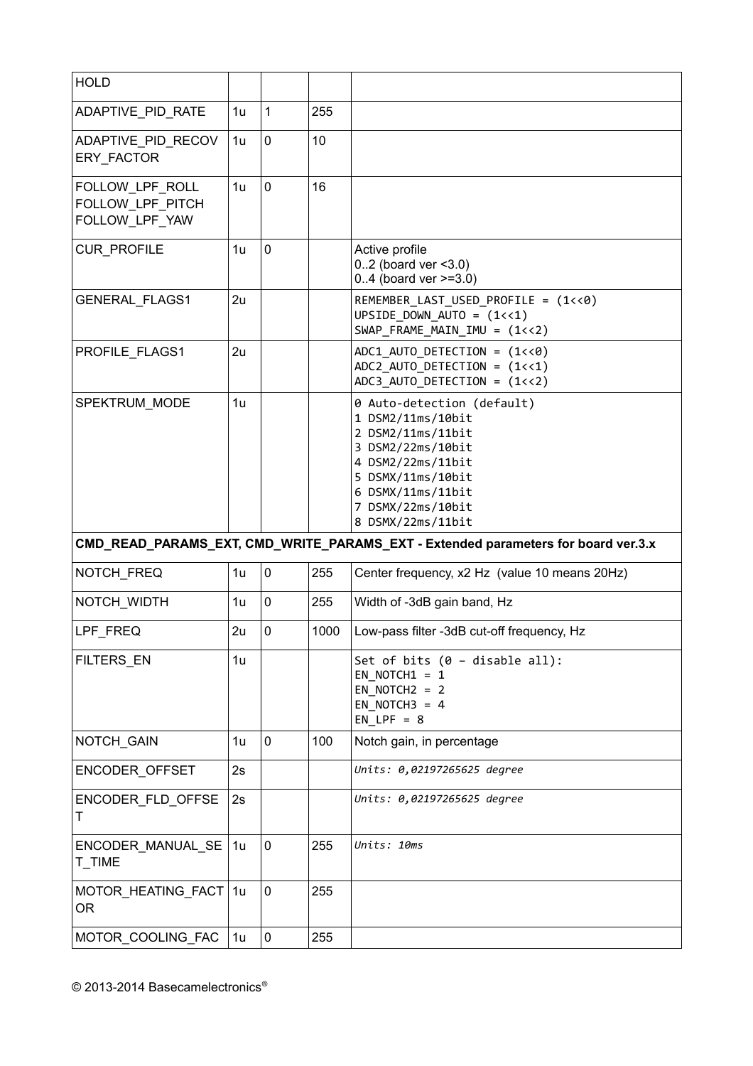| <b>HOLD</b>                                           |                |   |      |                                                                                                                                                                                                    |
|-------------------------------------------------------|----------------|---|------|----------------------------------------------------------------------------------------------------------------------------------------------------------------------------------------------------|
| ADAPTIVE_PID_RATE                                     | 1 <sub>u</sub> | 1 | 255  |                                                                                                                                                                                                    |
| ADAPTIVE_PID_RECOV<br><b>ERY FACTOR</b>               | 1u             | 0 | 10   |                                                                                                                                                                                                    |
| FOLLOW_LPF_ROLL<br>FOLLOW LPF PITCH<br>FOLLOW LPF YAW | 1u             | 0 | 16   |                                                                                                                                                                                                    |
| <b>CUR PROFILE</b>                                    | 1u             | 0 |      | Active profile<br>$0.2$ (board ver < 3.0)<br>$0.4$ (board ver $>=3.0$ )                                                                                                                            |
| <b>GENERAL FLAGS1</b>                                 | 2u             |   |      | REMEMBER LAST USED PROFILE = (1<<0)<br>UPSIDE_DOWN_AUTO = $(1<<1)$<br>SWAP_FRAME_MAIN_IMU = (1<<2)                                                                                                 |
| PROFILE_FLAGS1                                        | 2u             |   |      | $ADC1$ _AUTO_DETECTION = $(1\langle 8 \rangle)$<br>ADC2 AUTO DETECTION = $(1\left\langle 1\right\rangle)$<br>$ADC3$ _AUTO_DETECTION = $(1<<2)$                                                     |
| SPEKTRUM MODE                                         | 1u             |   |      | 0 Auto-detection (default)<br>1 DSM2/11ms/10bit<br>2 DSM2/11ms/11bit<br>3 DSM2/22ms/10bit<br>4 DSM2/22ms/11bit<br>5 DSMX/11ms/10bit<br>6 DSMX/11ms/11bit<br>7 DSMX/22ms/10bit<br>8 DSMX/22ms/11bit |
|                                                       |                |   |      | CMD_READ_PARAMS_EXT, CMD_WRITE_PARAMS_EXT - Extended parameters for board ver.3.x                                                                                                                  |
| NOTCH FREQ                                            | 1u             | 0 | 255  | Center frequency, x2 Hz (value 10 means 20Hz)                                                                                                                                                      |
| NOTCH_WIDTH                                           | 1u             | 0 | 255  | Width of -3dB gain band, Hz                                                                                                                                                                        |
| LPF FREQ                                              |                |   |      |                                                                                                                                                                                                    |
|                                                       | 2u             | 0 | 1000 | Low-pass filter -3dB cut-off frequency, Hz                                                                                                                                                         |
| <b>FILTERS EN</b>                                     | 1 <sub>u</sub> |   |      | Set of bits (0 - disable all):<br>EN NOTCH1 = $1$<br>EN NOTCH $2 = 2$<br>EN NOTCH3 = $4$<br>$EN LPF = 8$                                                                                           |
| NOTCH_GAIN                                            | 1u             | 0 | 100  | Notch gain, in percentage                                                                                                                                                                          |
| <b>ENCODER OFFSET</b>                                 | 2s             |   |      | Units: 0,02197265625 degree                                                                                                                                                                        |
| ENCODER_FLD_OFFSE<br>Τ                                | 2s             |   |      | Units: 0,02197265625 degree                                                                                                                                                                        |
| ENCODER_MANUAL_SE<br>T_TIME                           | 1u             | 0 | 255  | Units: 10ms                                                                                                                                                                                        |
| MOTOR_HEATING_FACT<br><b>OR</b>                       | 1u             | 0 | 255  |                                                                                                                                                                                                    |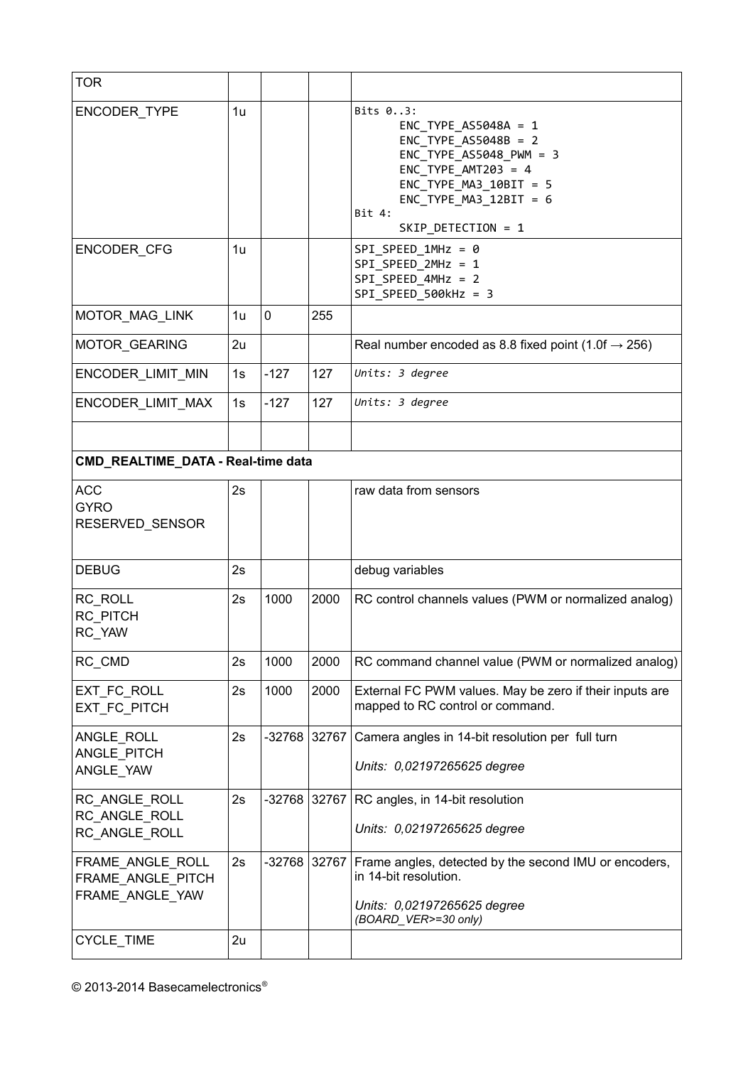| <b>TOR</b>                                               |    |             |       |                                                                                                                                                                                                              |
|----------------------------------------------------------|----|-------------|-------|--------------------------------------------------------------------------------------------------------------------------------------------------------------------------------------------------------------|
| ENCODER TYPE                                             | 1u |             |       | Bits 03:<br>$ENC_TYPE_ASS048A = 1$<br>$ENC_TYPE_ASS048B = 2$<br>$ENC_TYPE_ASS048_PWM = 3$<br>$ENC_TYPE_MNT203 = 4$<br>$ENC$ TYPE $MA3$ 10BIT = 5<br>$ENC_TYPE_MA3_12BIT = 6$<br>Bit 4:<br>SKIP DETECTION = 1 |
| ENCODER_CFG                                              | 1u |             |       | $SPI\_SPEED\_1MHz = 0$<br>SPI SPEED 2MHz = 1<br>SPI SPEED 4MHz = 2<br>SPI SPEED 500kHz = 3                                                                                                                   |
| MOTOR_MAG_LINK                                           | 1u | $\mathbf 0$ | 255   |                                                                                                                                                                                                              |
| MOTOR_GEARING                                            | 2u |             |       | Real number encoded as 8.8 fixed point (1.0f $\rightarrow$ 256)                                                                                                                                              |
| ENCODER_LIMIT_MIN                                        | 1s | $-127$      | 127   | Units: 3 degree                                                                                                                                                                                              |
| ENCODER_LIMIT_MAX                                        | 1s | $-127$      | 127   | Units: 3 degree                                                                                                                                                                                              |
|                                                          |    |             |       |                                                                                                                                                                                                              |
| CMD_REALTIME_DATA - Real-time data                       |    |             |       |                                                                                                                                                                                                              |
| <b>ACC</b><br><b>GYRO</b><br>RESERVED_SENSOR             | 2s |             |       | raw data from sensors                                                                                                                                                                                        |
| <b>DEBUG</b>                                             | 2s |             |       | debug variables                                                                                                                                                                                              |
| RC_ROLL<br>RC PITCH<br>RC YAW                            | 2s | 1000        | 2000  | RC control channels values (PWM or normalized analog)                                                                                                                                                        |
| RC_CMD                                                   | 2s | 1000        | 2000  | RC command channel value (PWM or normalized analog)                                                                                                                                                          |
| EXT_FC_ROLL<br>EXT FC PITCH                              | 2s | 1000        | 2000  | External FC PWM values. May be zero if their inputs are<br>mapped to RC control or command.                                                                                                                  |
| ANGLE ROLL<br>ANGLE PITCH<br>ANGLE YAW                   | 2s | $-32768$    | 32767 | Camera angles in 14-bit resolution per full turn<br>Units: 0,02197265625 degree                                                                                                                              |
| RC ANGLE ROLL<br>RC ANGLE ROLL<br>RC_ANGLE_ROLL          | 2s | -32768      | 32767 | RC angles, in 14-bit resolution<br>Units: 0,02197265625 degree                                                                                                                                               |
| FRAME_ANGLE_ROLL<br>FRAME ANGLE PITCH<br>FRAME_ANGLE_YAW | 2s | $-32768$    | 32767 | Frame angles, detected by the second IMU or encoders,<br>in 14-bit resolution.<br>Units: 0,02197265625 degree<br>(BOARD_VER>=30 only)                                                                        |
| CYCLE_TIME                                               | 2u |             |       |                                                                                                                                                                                                              |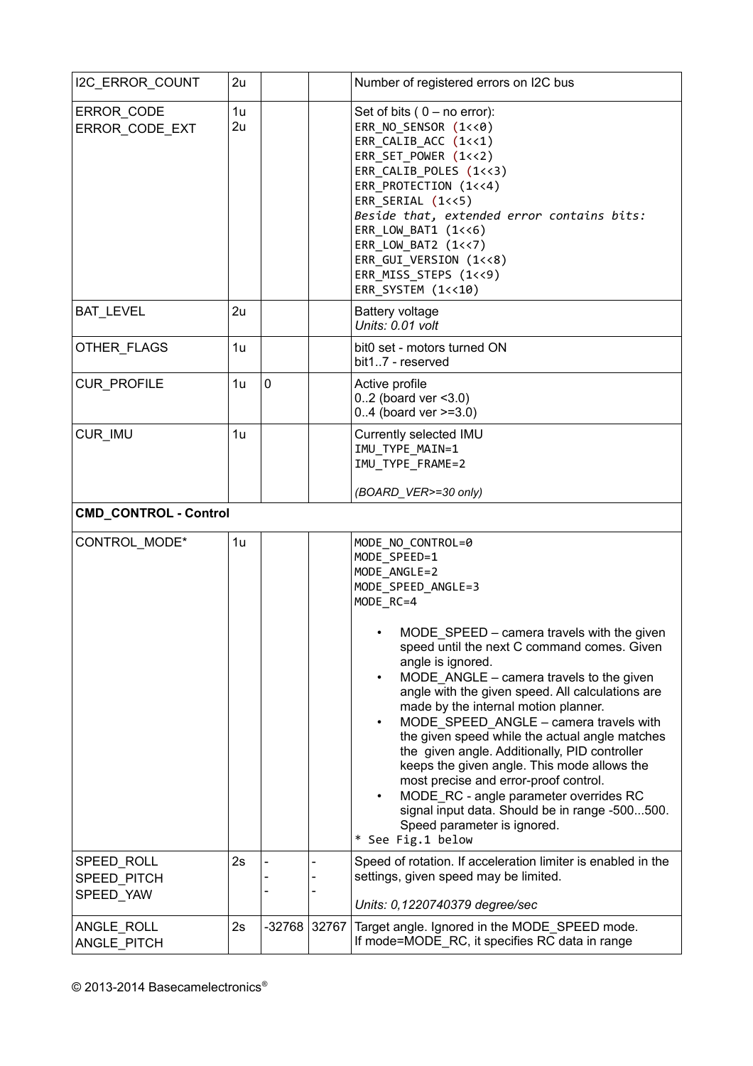| I2C_ERROR_COUNT                        | 2u                   |          |       | Number of registered errors on I2C bus                                                                                                                                                                                                                                                                                                                                                                                                                                                                                                                                                                                                                                                                                                                                     |
|----------------------------------------|----------------------|----------|-------|----------------------------------------------------------------------------------------------------------------------------------------------------------------------------------------------------------------------------------------------------------------------------------------------------------------------------------------------------------------------------------------------------------------------------------------------------------------------------------------------------------------------------------------------------------------------------------------------------------------------------------------------------------------------------------------------------------------------------------------------------------------------------|
| ERROR_CODE<br>ERROR CODE EXT           | 1 <sub>u</sub><br>2u |          |       | Set of bits $(0 - no error)$ :<br>ERR_NO_SENSOR (1<<0)<br>ERR_CALIB_ACC (1<<1)<br>ERR_SET_POWER (1<<2)<br>ERR_CALIB_POLES (1<<3)<br>ERR_PROTECTION (1<<4)<br>ERR SERIAL (1<<5)<br>Beside that, extended error contains bits:<br>$ERR_LOW_BAT1 (1<<6)$<br>ERR_LOW_BAT2 (1<<7)<br>ERR_GUI_VERSION (1<<8)<br>ERR_MISS_STEPS (1<<9)<br>ERR_SYSTEM (1<<10)                                                                                                                                                                                                                                                                                                                                                                                                                      |
| <b>BAT LEVEL</b>                       | 2u                   |          |       | <b>Battery voltage</b><br>Units: 0.01 volt                                                                                                                                                                                                                                                                                                                                                                                                                                                                                                                                                                                                                                                                                                                                 |
| OTHER_FLAGS                            | 1 <sub>u</sub>       |          |       | bit0 set - motors turned ON<br>bit17 - reserved                                                                                                                                                                                                                                                                                                                                                                                                                                                                                                                                                                                                                                                                                                                            |
| CUR_PROFILE                            | 1u                   | 0        |       | Active profile<br>$0.2$ (board ver < 3.0)<br>$0.4$ (board ver $>=3.0$ )                                                                                                                                                                                                                                                                                                                                                                                                                                                                                                                                                                                                                                                                                                    |
| CUR IMU                                | 1u                   |          |       | Currently selected IMU<br>IMU_TYPE_MAIN=1<br>IMU_TYPE_FRAME=2                                                                                                                                                                                                                                                                                                                                                                                                                                                                                                                                                                                                                                                                                                              |
| <b>CMD_CONTROL - Control</b>           |                      |          |       | (BOARD_VER>=30 only)                                                                                                                                                                                                                                                                                                                                                                                                                                                                                                                                                                                                                                                                                                                                                       |
| CONTROL_MODE*                          | 1u                   |          |       | MODE_NO_CONTROL=0<br>MODE_SPEED=1<br>MODE ANGLE=2<br>MODE SPEED ANGLE=3<br>MODE RC=4<br>MODE_SPEED - camera travels with the given<br>speed until the next C command comes. Given<br>angle is ignored.<br>MODE_ANGLE - camera travels to the given<br>$\bullet$<br>angle with the given speed. All calculations are<br>made by the internal motion planner.<br>MODE SPEED ANGLE - camera travels with<br>$\bullet$<br>the given speed while the actual angle matches<br>the given angle. Additionally, PID controller<br>keeps the given angle. This mode allows the<br>most precise and error-proof control.<br>MODE_RC - angle parameter overrides RC<br>$\bullet$<br>signal input data. Should be in range -500500.<br>Speed parameter is ignored.<br>* See Fig.1 below |
| SPEED_ROLL<br>SPEED PITCH<br>SPEED YAW | 2s                   |          |       | Speed of rotation. If acceleration limiter is enabled in the<br>settings, given speed may be limited.<br>Units: 0,1220740379 degree/sec                                                                                                                                                                                                                                                                                                                                                                                                                                                                                                                                                                                                                                    |
| ANGLE_ROLL<br>ANGLE PITCH              | 2s                   | $-32768$ | 32767 | Target angle. Ignored in the MODE_SPEED mode.<br>If mode=MODE_RC, it specifies RC data in range                                                                                                                                                                                                                                                                                                                                                                                                                                                                                                                                                                                                                                                                            |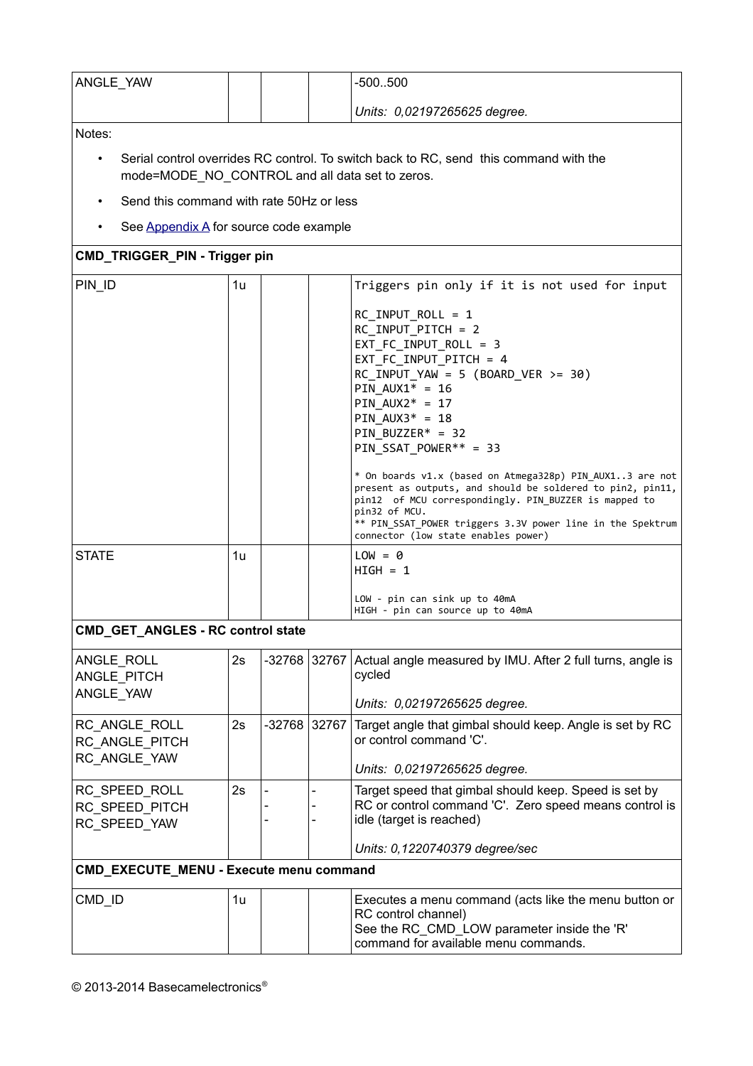| ANGLE YAW |  | $-500.500$                   |
|-----------|--|------------------------------|
|           |  | Units: 0,02197265625 degree. |

Notes:

- Serial control overrides RC control. To switch back to RC, send this command with the mode=MODE\_NO\_CONTROL and all data set to zeros.
- Send this command with rate 50Hz or less
- <span id="page-27-0"></span>• See [Appendix A](#page-27-0) for source code example

### **CMD\_TRIGGER\_PIN - Trigger pin**

| PIN ID                                   | 1u |  | Triggers pin only if it is not used for input                                                                                                                                                                                                                                                                                                                                                                                         |
|------------------------------------------|----|--|---------------------------------------------------------------------------------------------------------------------------------------------------------------------------------------------------------------------------------------------------------------------------------------------------------------------------------------------------------------------------------------------------------------------------------------|
|                                          |    |  | RC INPUT ROLL = $1$<br>RC INPUT PITCH = 2<br>EXT FC INPUT ROLL = 3<br>EXT_FC_INPUT_PITCH = 4<br>$RC\_INPUT_YAW = 5 (BOARD_VER >= 30)$<br>PIN $AUX1* = 16$<br>PIN $AUX2* = 17$<br>PIN $AUX3* = 18$<br>PIN BUZZER* = $32$<br>$PIN_SSAT_POWER** = 33$<br>* On boards v1.x (based on Atmega328p) PIN AUX13 are not<br>present as outputs, and should be soldered to pin2, pin11,<br>pin12 of MCU correspondingly. PIN BUZZER is mapped to |
|                                          |    |  | pin32 of MCU.<br>** PIN SSAT POWER triggers 3.3V power line in the Spektrum<br>connector (low state enables power)                                                                                                                                                                                                                                                                                                                    |
| <b>STATE</b>                             | 1u |  | $LOW = 0$<br>$HIGH = 1$<br>LOW - pin can sink up to 40mA                                                                                                                                                                                                                                                                                                                                                                              |
|                                          |    |  | HIGH - pin can source up to 40mA                                                                                                                                                                                                                                                                                                                                                                                                      |
| <b>CMD_GET_ANGLES - RC control state</b> |    |  |                                                                                                                                                                                                                                                                                                                                                                                                                                       |
| ANGLE_ROLL<br>ANGLE_PITCH                | 2s |  | -32768 32767 Actual angle measured by IMU. After 2 full turns, angle is<br>cycled                                                                                                                                                                                                                                                                                                                                                     |

| <b>ANULL INDLL</b><br>ANGLE PITCH<br>ANGLE_YAW  | ້  |                |  | $52100$   $02101$   Actual angle measured by inter-Alter 2 full turns, angle is<br>cycled<br>Units: 0,02197265625 degree.                                                     |
|-------------------------------------------------|----|----------------|--|-------------------------------------------------------------------------------------------------------------------------------------------------------------------------------|
| RC ANGLE ROLL<br>RC ANGLE PITCH<br>RC ANGLE YAW | 2s | $-32768$ 32767 |  | Target angle that gimbal should keep. Angle is set by RC<br>or control command 'C'.<br>Units: 0,02197265625 degree.                                                           |
| RC SPEED ROLL<br>RC SPEED PITCH<br>RC SPEED YAW | 2s |                |  | Target speed that gimbal should keep. Speed is set by<br>RC or control command 'C'. Zero speed means control is<br>idle (target is reached)<br>Units: 0,1220740379 degree/sec |
| CMD_EXECUTE_MENU - Execute menu command         |    |                |  |                                                                                                                                                                               |
| CMD ID                                          | 1u |                |  | Executes a menu command (acts like the menu button or<br>RC control channel)<br>See the RC_CMD_LOW parameter inside the 'R'<br>command for available menu commands.           |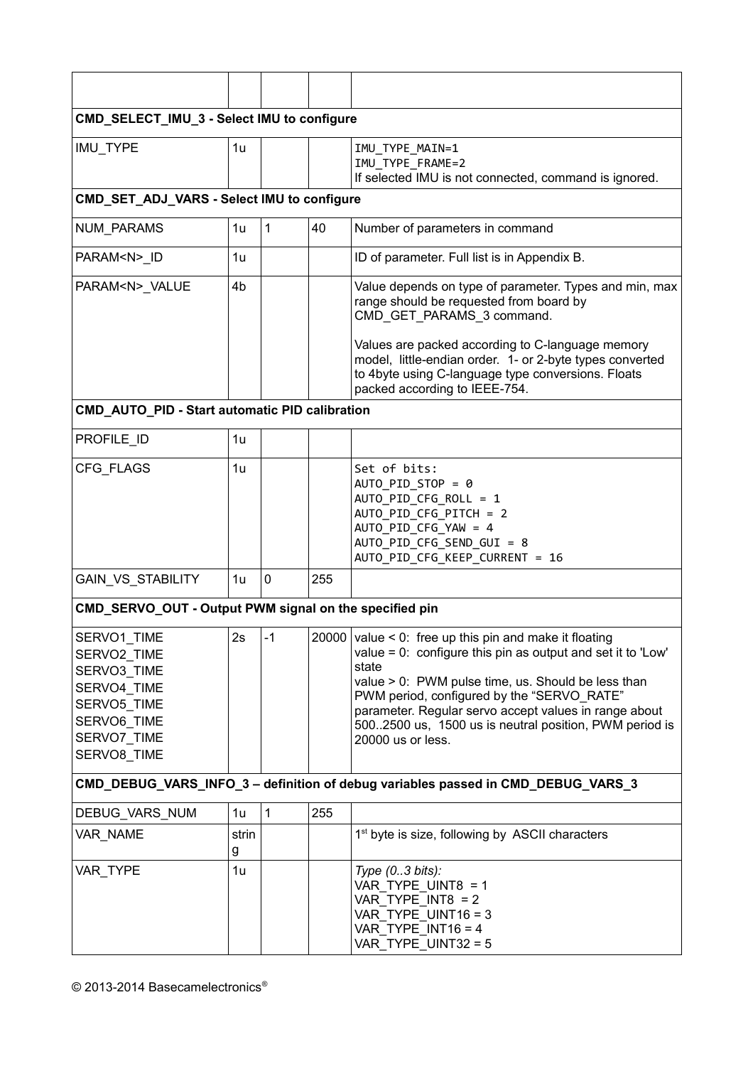| CMD_SELECT_IMU_3 - Select IMU to configure                                                                           |            |              |     |                                                                                                                                                                                                                                                                                                                                                                                  |
|----------------------------------------------------------------------------------------------------------------------|------------|--------------|-----|----------------------------------------------------------------------------------------------------------------------------------------------------------------------------------------------------------------------------------------------------------------------------------------------------------------------------------------------------------------------------------|
| IMU_TYPE                                                                                                             | 1u         |              |     | IMU TYPE MAIN=1<br>IMU TYPE FRAME=2<br>If selected IMU is not connected, command is ignored.                                                                                                                                                                                                                                                                                     |
| CMD_SET_ADJ_VARS - Select IMU to configure                                                                           |            |              |     |                                                                                                                                                                                                                                                                                                                                                                                  |
| <b>NUM PARAMS</b>                                                                                                    | 1u         | $\mathbf{1}$ | 40  | Number of parameters in command                                                                                                                                                                                                                                                                                                                                                  |
| PARAM <n>_ID</n>                                                                                                     | 1u         |              |     | ID of parameter. Full list is in Appendix B.                                                                                                                                                                                                                                                                                                                                     |
| PARAM <n>_VALUE</n>                                                                                                  | 4b         |              |     | Value depends on type of parameter. Types and min, max<br>range should be requested from board by<br>CMD_GET_PARAMS_3 command.                                                                                                                                                                                                                                                   |
|                                                                                                                      |            |              |     | Values are packed according to C-language memory<br>model, little-endian order. 1- or 2-byte types converted<br>to 4byte using C-language type conversions. Floats<br>packed according to IEEE-754.                                                                                                                                                                              |
| CMD_AUTO_PID - Start automatic PID calibration                                                                       |            |              |     |                                                                                                                                                                                                                                                                                                                                                                                  |
| PROFILE_ID                                                                                                           | 1u         |              |     |                                                                                                                                                                                                                                                                                                                                                                                  |
| CFG FLAGS                                                                                                            | 1u         |              |     | Set of bits:<br>AUTO PID STOP = 0<br>AUTO_PID_CFG_ROLL = 1<br>AUTO_PID_CFG_PITCH = 2<br>AUTO_PID_CFG_YAW = 4<br>AUTO_PID_CFG_SEND_GUI = 8<br>AUTO_PID_CFG_KEEP_CURRENT = 16                                                                                                                                                                                                      |
| <b>GAIN VS STABILITY</b>                                                                                             | 1u         | 0            | 255 |                                                                                                                                                                                                                                                                                                                                                                                  |
| CMD_SERVO_OUT - Output PWM signal on the specified pin                                                               |            |              |     |                                                                                                                                                                                                                                                                                                                                                                                  |
| SERVO1_TIME<br>SERVO2 TIME<br>SERVO3 TIME<br>SERVO4 TIME<br>SERVO5 TIME<br>SERVO6 TIME<br>SERVO7_TIME<br>SERVO8 TIME | 2s         | -1           |     | $20000$ value < 0: free up this pin and make it floating<br>value = $0$ : configure this pin as output and set it to 'Low'<br>state<br>value > 0: PWM pulse time, us. Should be less than<br>PWM period, configured by the "SERVO RATE"<br>parameter. Regular servo accept values in range about<br>500.2500 us, 1500 us is neutral position, PWM period is<br>20000 us or less. |
|                                                                                                                      |            |              |     | CMD_DEBUG_VARS_INFO_3 - definition of debug variables passed in CMD_DEBUG_VARS_3                                                                                                                                                                                                                                                                                                 |
| DEBUG_VARS_NUM                                                                                                       | 1u         | $\mathbf{1}$ | 255 |                                                                                                                                                                                                                                                                                                                                                                                  |
| VAR NAME                                                                                                             | strin<br>g |              |     | 1 <sup>st</sup> byte is size, following by ASCII characters                                                                                                                                                                                                                                                                                                                      |
| VAR_TYPE                                                                                                             | 1u         |              |     | Type $(0.3 \text{ bits})$ :<br>VAR_TYPE_UINT8 = 1<br>$VAR_TYPE_NTS = 2$<br>VAR TYPE UINT16 = 3<br>VAR TYPE $INT16 = 4$<br>VAR TYPE UINT32 = 5                                                                                                                                                                                                                                    |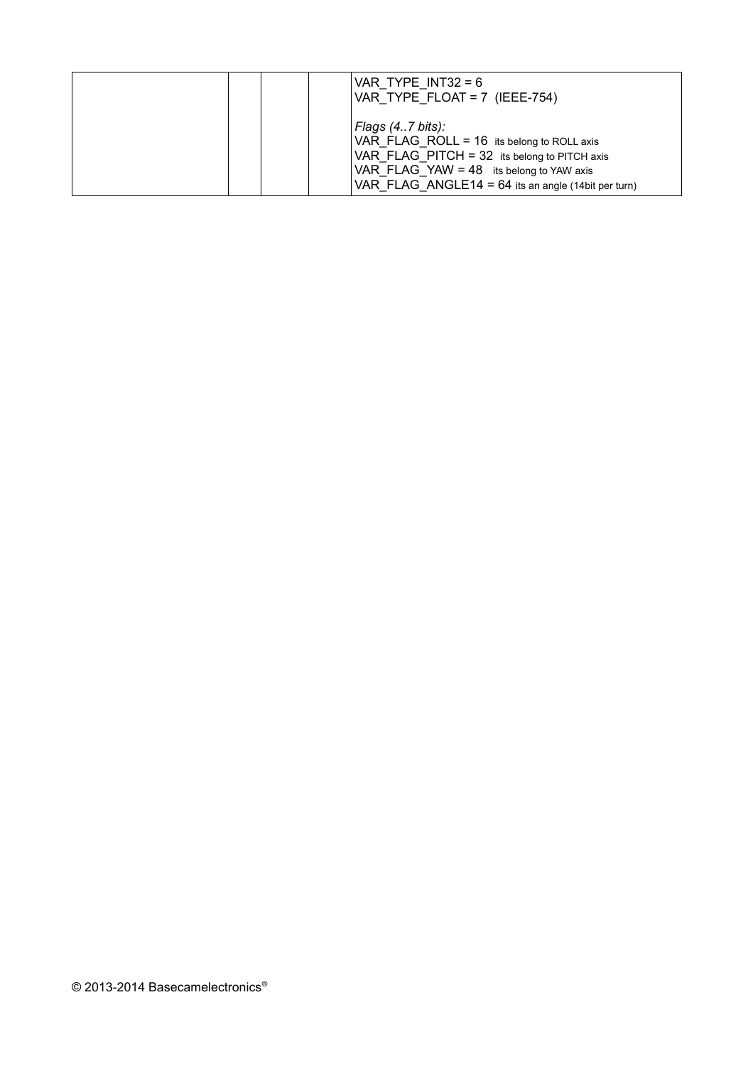|  | VAR TYPE $INT32 = 6$<br>VAR TYPE FLOAT = $7$ (IEEE-754)                                                                                                                                                                             |
|--|-------------------------------------------------------------------------------------------------------------------------------------------------------------------------------------------------------------------------------------|
|  | Flags $(4.7 \text{ bits})$ :<br>VAR FLAG ROLL = $16$ its belong to ROLL axis<br>VAR FLAG PITCH = $32$ its belong to PITCH axis<br>VAR FLAG YAW = 48 its belong to YAW axis<br>VAR FLAG ANGLE14 = $64$ its an angle (14bit per turn) |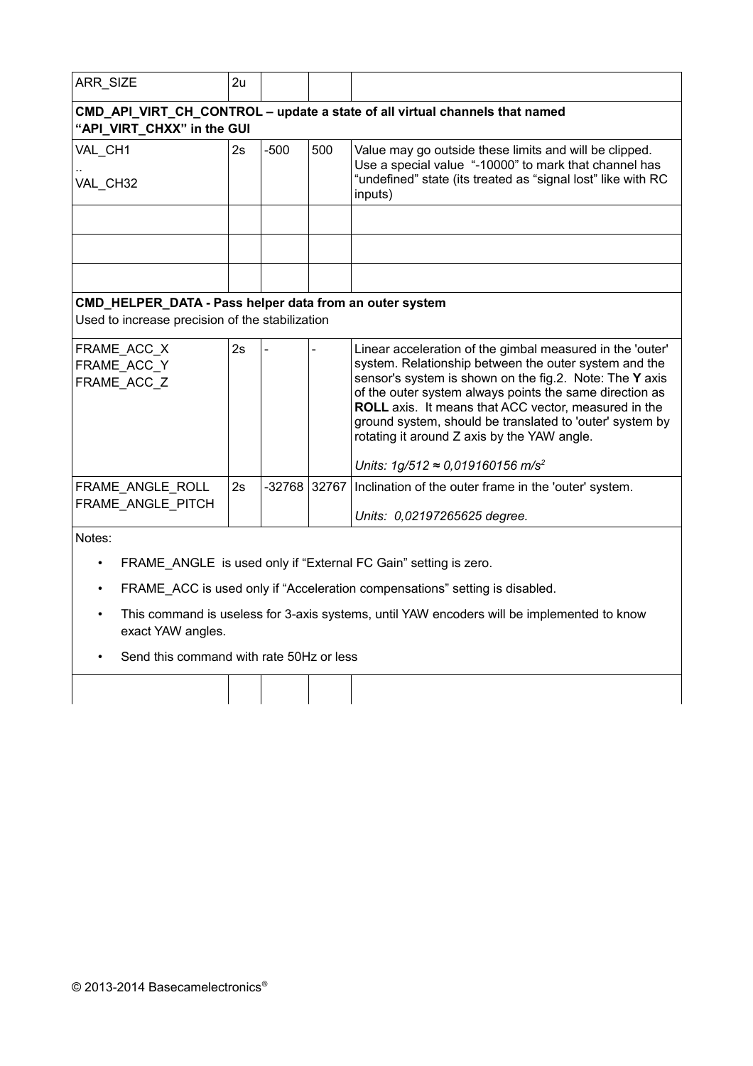| CMD_API_VIRT_CH_CONTROL - update a state of all virtual channels that named<br>"API_VIRT_CHXX" in the GUI<br>$-500$<br>VAL CH1<br>2s<br>500<br>Value may go outside these limits and will be clipped.<br>Use a special value "-10000" to mark that channel has<br>"undefined" state (its treated as "signal lost" like with RC<br>VAL_CH32<br>inputs)<br>CMD_HELPER_DATA - Pass helper data from an outer system<br>Used to increase precision of the stabilization<br>Linear acceleration of the gimbal measured in the 'outer'<br>FRAME_ACC_X<br>2s<br>system. Relationship between the outer system and the<br>FRAME ACC Y<br>sensor's system is shown on the fig.2. Note: The Y axis<br>FRAME ACC Z<br>of the outer system always points the same direction as<br><b>ROLL</b> axis. It means that ACC vector, measured in the<br>ground system, should be translated to 'outer' system by<br>rotating it around Z axis by the YAW angle.<br>Units: $1g/512 \approx 0.019160156$ m/s <sup>2</sup><br>$-32768$ 32767<br>2s<br>Inclination of the outer frame in the 'outer' system.<br>FRAME_ANGLE_ROLL<br>FRAME_ANGLE_PITCH<br>Units: 0,02197265625 degree.<br>Notes:<br>FRAME ANGLE is used only if "External FC Gain" setting is zero.<br>FRAME ACC is used only if "Acceleration compensations" setting is disabled.<br>This command is useless for 3-axis systems, until YAW encoders will be implemented to know<br>exact YAW angles.<br>Send this command with rate 50Hz or less | ARR_SIZE | 2u |  |  |  |  |  |
|-------------------------------------------------------------------------------------------------------------------------------------------------------------------------------------------------------------------------------------------------------------------------------------------------------------------------------------------------------------------------------------------------------------------------------------------------------------------------------------------------------------------------------------------------------------------------------------------------------------------------------------------------------------------------------------------------------------------------------------------------------------------------------------------------------------------------------------------------------------------------------------------------------------------------------------------------------------------------------------------------------------------------------------------------------------------------------------------------------------------------------------------------------------------------------------------------------------------------------------------------------------------------------------------------------------------------------------------------------------------------------------------------------------------------------------------------------------------------------------------|----------|----|--|--|--|--|--|
|                                                                                                                                                                                                                                                                                                                                                                                                                                                                                                                                                                                                                                                                                                                                                                                                                                                                                                                                                                                                                                                                                                                                                                                                                                                                                                                                                                                                                                                                                           |          |    |  |  |  |  |  |
|                                                                                                                                                                                                                                                                                                                                                                                                                                                                                                                                                                                                                                                                                                                                                                                                                                                                                                                                                                                                                                                                                                                                                                                                                                                                                                                                                                                                                                                                                           |          |    |  |  |  |  |  |
|                                                                                                                                                                                                                                                                                                                                                                                                                                                                                                                                                                                                                                                                                                                                                                                                                                                                                                                                                                                                                                                                                                                                                                                                                                                                                                                                                                                                                                                                                           |          |    |  |  |  |  |  |
|                                                                                                                                                                                                                                                                                                                                                                                                                                                                                                                                                                                                                                                                                                                                                                                                                                                                                                                                                                                                                                                                                                                                                                                                                                                                                                                                                                                                                                                                                           |          |    |  |  |  |  |  |
|                                                                                                                                                                                                                                                                                                                                                                                                                                                                                                                                                                                                                                                                                                                                                                                                                                                                                                                                                                                                                                                                                                                                                                                                                                                                                                                                                                                                                                                                                           |          |    |  |  |  |  |  |
|                                                                                                                                                                                                                                                                                                                                                                                                                                                                                                                                                                                                                                                                                                                                                                                                                                                                                                                                                                                                                                                                                                                                                                                                                                                                                                                                                                                                                                                                                           |          |    |  |  |  |  |  |
|                                                                                                                                                                                                                                                                                                                                                                                                                                                                                                                                                                                                                                                                                                                                                                                                                                                                                                                                                                                                                                                                                                                                                                                                                                                                                                                                                                                                                                                                                           |          |    |  |  |  |  |  |
|                                                                                                                                                                                                                                                                                                                                                                                                                                                                                                                                                                                                                                                                                                                                                                                                                                                                                                                                                                                                                                                                                                                                                                                                                                                                                                                                                                                                                                                                                           |          |    |  |  |  |  |  |
|                                                                                                                                                                                                                                                                                                                                                                                                                                                                                                                                                                                                                                                                                                                                                                                                                                                                                                                                                                                                                                                                                                                                                                                                                                                                                                                                                                                                                                                                                           |          |    |  |  |  |  |  |
|                                                                                                                                                                                                                                                                                                                                                                                                                                                                                                                                                                                                                                                                                                                                                                                                                                                                                                                                                                                                                                                                                                                                                                                                                                                                                                                                                                                                                                                                                           |          |    |  |  |  |  |  |
|                                                                                                                                                                                                                                                                                                                                                                                                                                                                                                                                                                                                                                                                                                                                                                                                                                                                                                                                                                                                                                                                                                                                                                                                                                                                                                                                                                                                                                                                                           |          |    |  |  |  |  |  |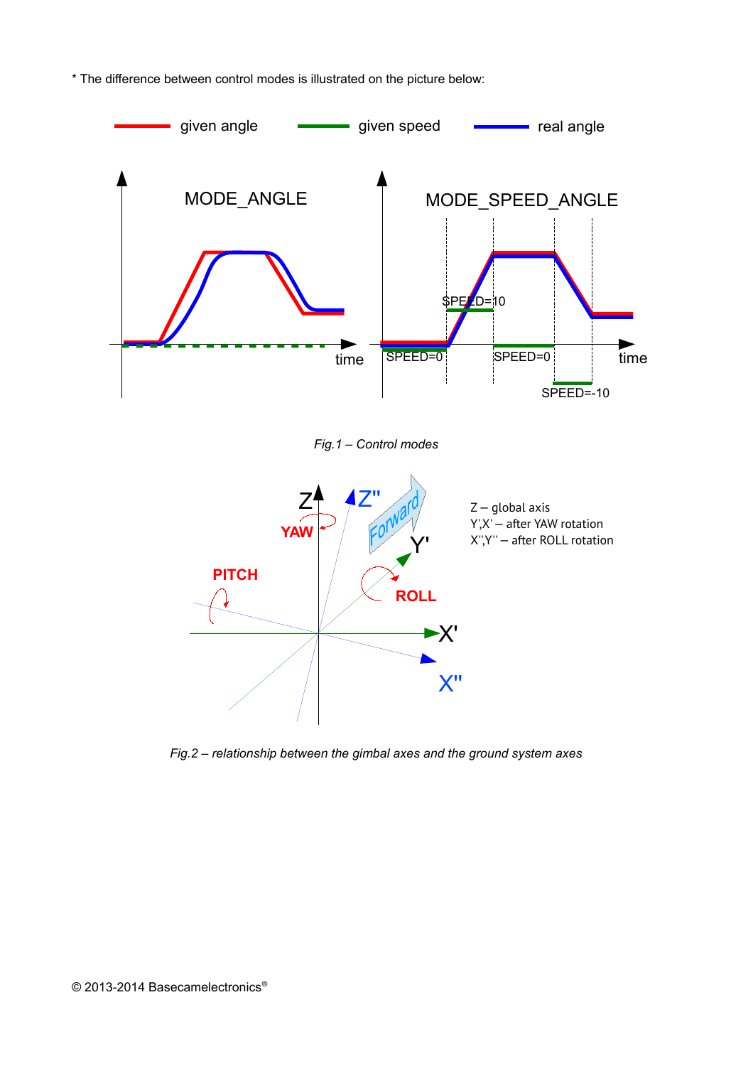



*Fig.2 – relationship between the gimbal axes and the ground system axes*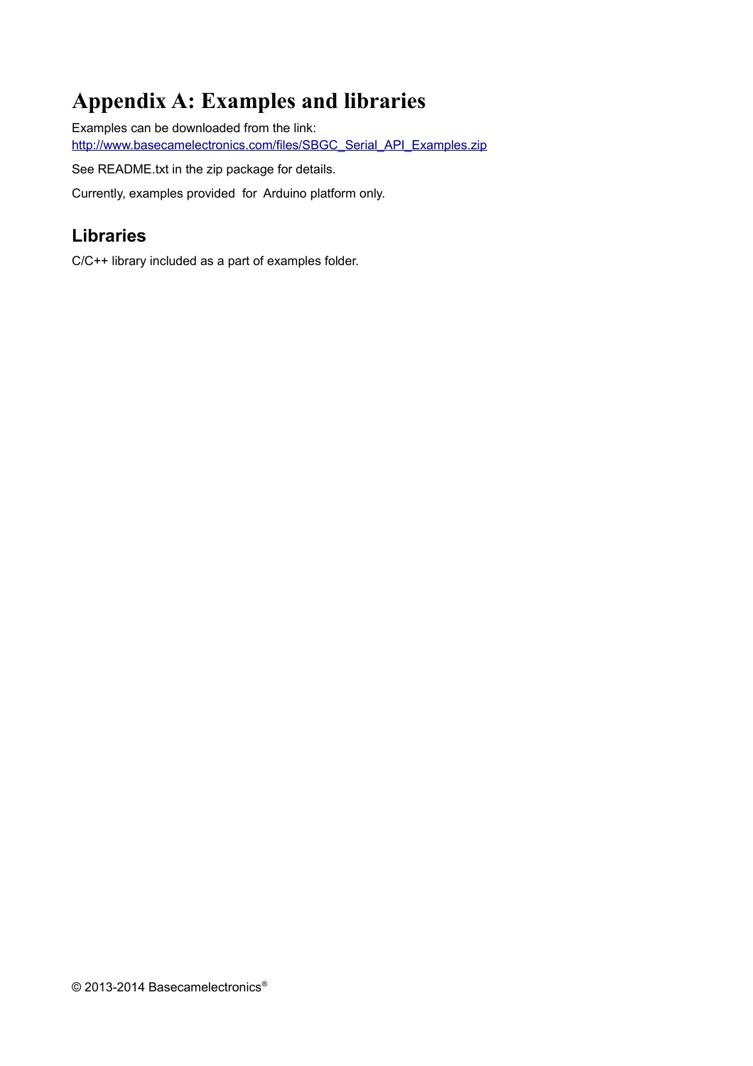## **Appendix A: Examples and libraries**

Examples can be downloaded from the link: [http://www.basecamelectronics.com/files/SBGC\\_Serial\\_API\\_Examples.zip](http://www.basecamelectronics.com/files/SBGC_Serial_API_Examples.zip)

See README.txt in the zip package for details.

Currently, examples provided for Arduino platform only.

## **Libraries**

C/C++ library included as a part of examples folder.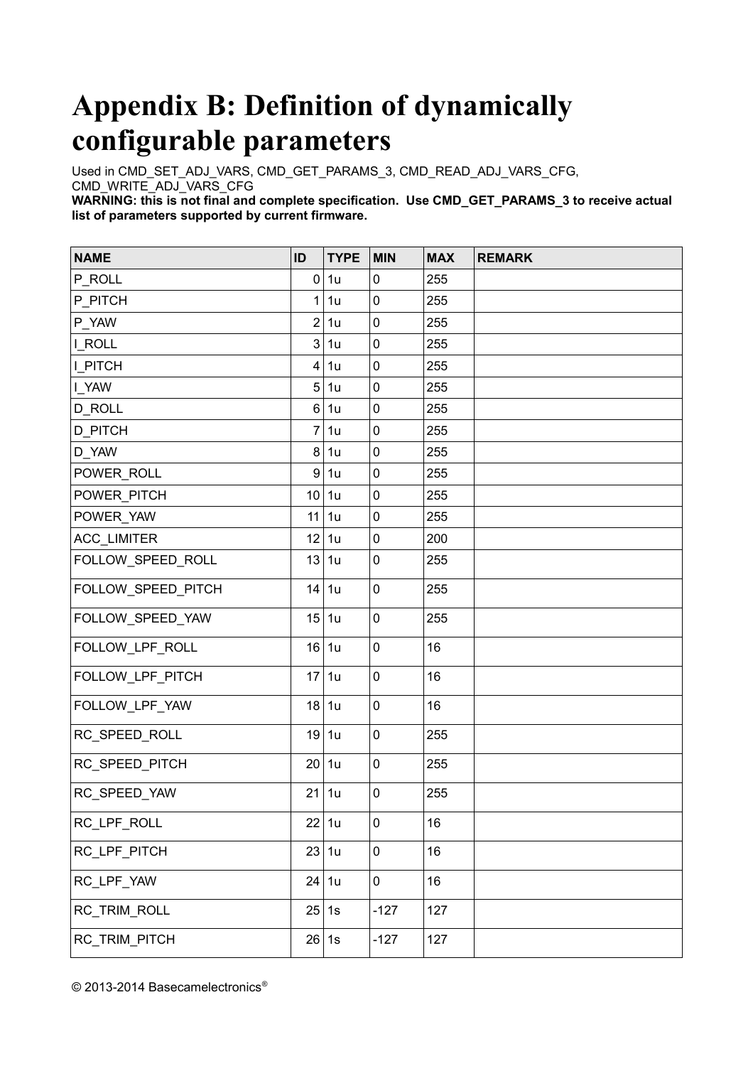# <span id="page-33-0"></span>**Appendix B: Definition of dynamically configurable parameters**

Used in CMD\_SET\_ADJ\_VARS, CMD\_GET\_PARAMS\_3, CMD\_READ\_ADJ\_VARS\_CFG, CMD\_WRITE\_ADJ\_VARS\_CFG

WARNING: this is not final and complete specification. Use CMD\_GET\_PARAMS\_3 to receive actual **list of parameters supported by current firmware.**

| <b>NAME</b>        | ID             | <b>TYPE</b> | <b>MIN</b>  | <b>MAX</b> | <b>REMARK</b> |
|--------------------|----------------|-------------|-------------|------------|---------------|
| P_ROLL             | $\pmb{0}$      | 1u          | $\pmb{0}$   | 255        |               |
| P PITCH            | $\mathbf{1}$   | 1u          | $\mathbf 0$ | 255        |               |
| P_YAW              | $\overline{2}$ | 1u          | $\pmb{0}$   | 255        |               |
| I ROLL             | 3              | 1u          | $\mathbf 0$ | 255        |               |
| <b>I PITCH</b>     | 4              | 1u          | $\mathbf 0$ | 255        |               |
| I_YAW              | 5              | 1u          | $\pmb{0}$   | 255        |               |
| <b>D ROLL</b>      | 6              | 1u          | $\mathbf 0$ | 255        |               |
| <b>D_PITCH</b>     | $\overline{7}$ | 1u          | $\mathbf 0$ | 255        |               |
| D_YAW              | 8              | 1u          | $\mathbf 0$ | 255        |               |
| POWER ROLL         | 9              | 1u          | $\pmb{0}$   | 255        |               |
| POWER_PITCH        | 10             | 1u          | $\pmb{0}$   | 255        |               |
| POWER_YAW          | 11             | 1u          | $\mathbf 0$ | 255        |               |
| ACC_LIMITER        | 12             | 1u          | $\mathbf 0$ | 200        |               |
| FOLLOW_SPEED_ROLL  | 13             | 1u          | $\mathbf 0$ | 255        |               |
| FOLLOW_SPEED_PITCH | 14             | 1u          | $\mathbf 0$ | 255        |               |
| FOLLOW_SPEED_YAW   | 15             | 1u          | $\mathbf 0$ | 255        |               |
| FOLLOW_LPF_ROLL    | 16             | 1u          | $\pmb{0}$   | 16         |               |
| FOLLOW_LPF_PITCH   | 17             | 1u          | $\mathbf 0$ | 16         |               |
| FOLLOW_LPF_YAW     | 18             | 1u          | $\mathbf 0$ | 16         |               |
| RC_SPEED_ROLL      | 19             | 1u          | $\pmb{0}$   | 255        |               |
| RC_SPEED_PITCH     | 20             | 1u          | $\pmb{0}$   | 255        |               |
| RC SPEED YAW       | 21             | 1u          | $\pmb{0}$   | 255        |               |
| RC_LPF_ROLL        | 22             | 1u          | $\pmb{0}$   | 16         |               |
| RC_LPF_PITCH       | 23             | 1u          | $\pmb{0}$   | 16         |               |
| RC_LPF_YAW         | 24             | 1u          | $\pmb{0}$   | 16         |               |
| RC_TRIM_ROLL       | 25             | 1s          | $-127$      | 127        |               |
| RC_TRIM_PITCH      |                | 26 1s       | $-127$      | 127        |               |